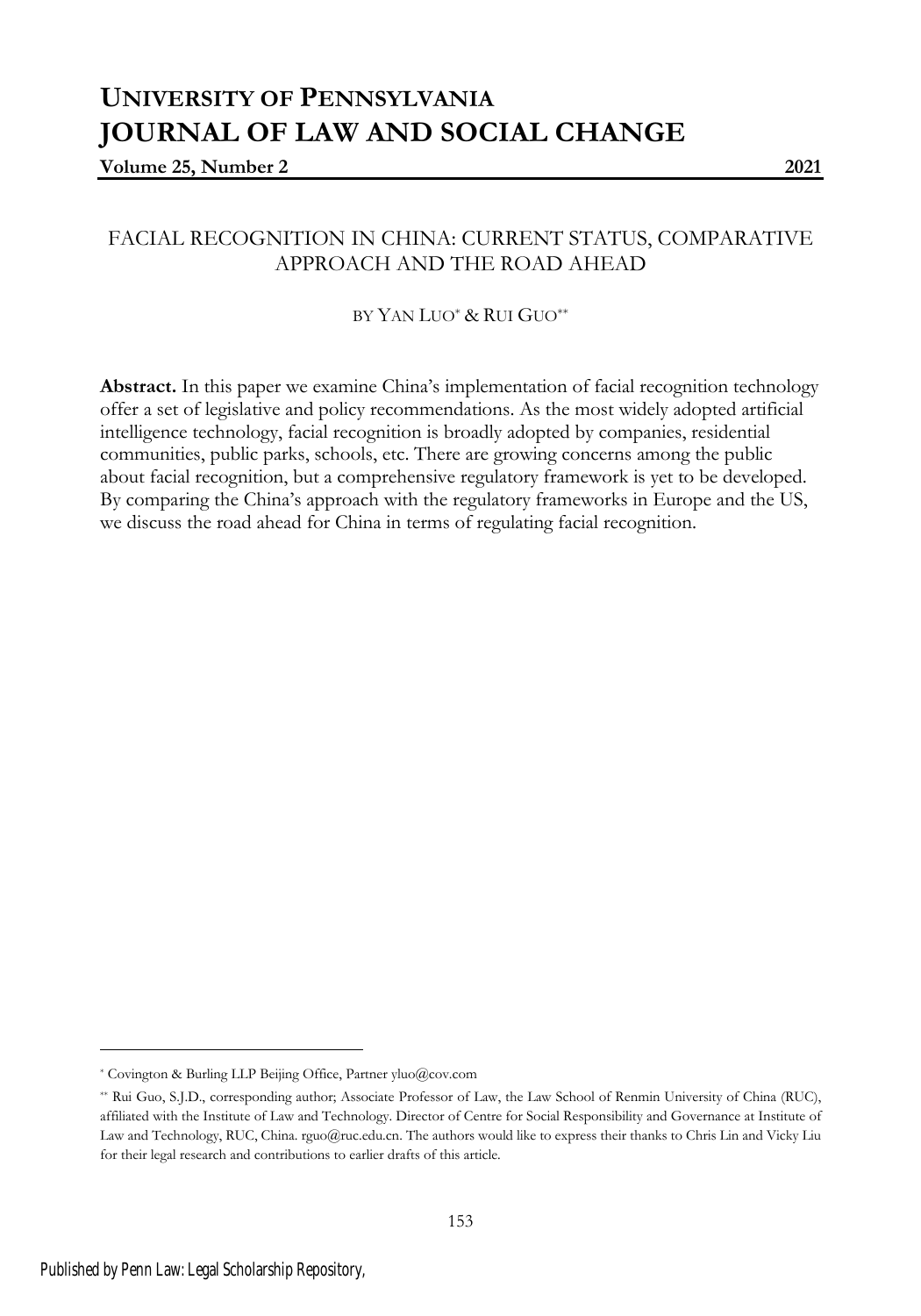# **UNIVERSITY OF PENNSYLVANIA JOURNAL OF LAW AND SOCIAL CHANGE**

### **Volume 25, Number 2 2021**

## FACIAL RECOGNITION IN CHINA: CURRENT STATUS, COMPARATIVE APPROACH AND THE ROAD AHEAD

### BY YAN LUO\* & RUI GUO\*\*

**Abstract.** In this paper we examine China's implementation of facial recognition technology offer a set of legislative and policy recommendations. As the most widely adopted artificial intelligence technology, facial recognition is broadly adopted by companies, residential communities, public parks, schools, etc. There are growing concerns among the public about facial recognition, but a comprehensive regulatory framework is yet to be developed. By comparing the China's approach with the regulatory frameworks in Europe and the US, we discuss the road ahead for China in terms of regulating facial recognition.

<sup>\*</sup> Covington & Burling LLP Beijing Office, Partner yluo@cov.com

<sup>\*\*</sup> Rui Guo, S.J.D., corresponding author; Associate Professor of Law, the Law School of Renmin University of China (RUC), affiliated with the Institute of Law and Technology. Director of Centre for Social Responsibility and Governance at Institute of Law and Technology, RUC, China. rguo@ruc.edu.cn. The authors would like to express their thanks to Chris Lin and Vicky Liu for their legal research and contributions to earlier drafts of this article.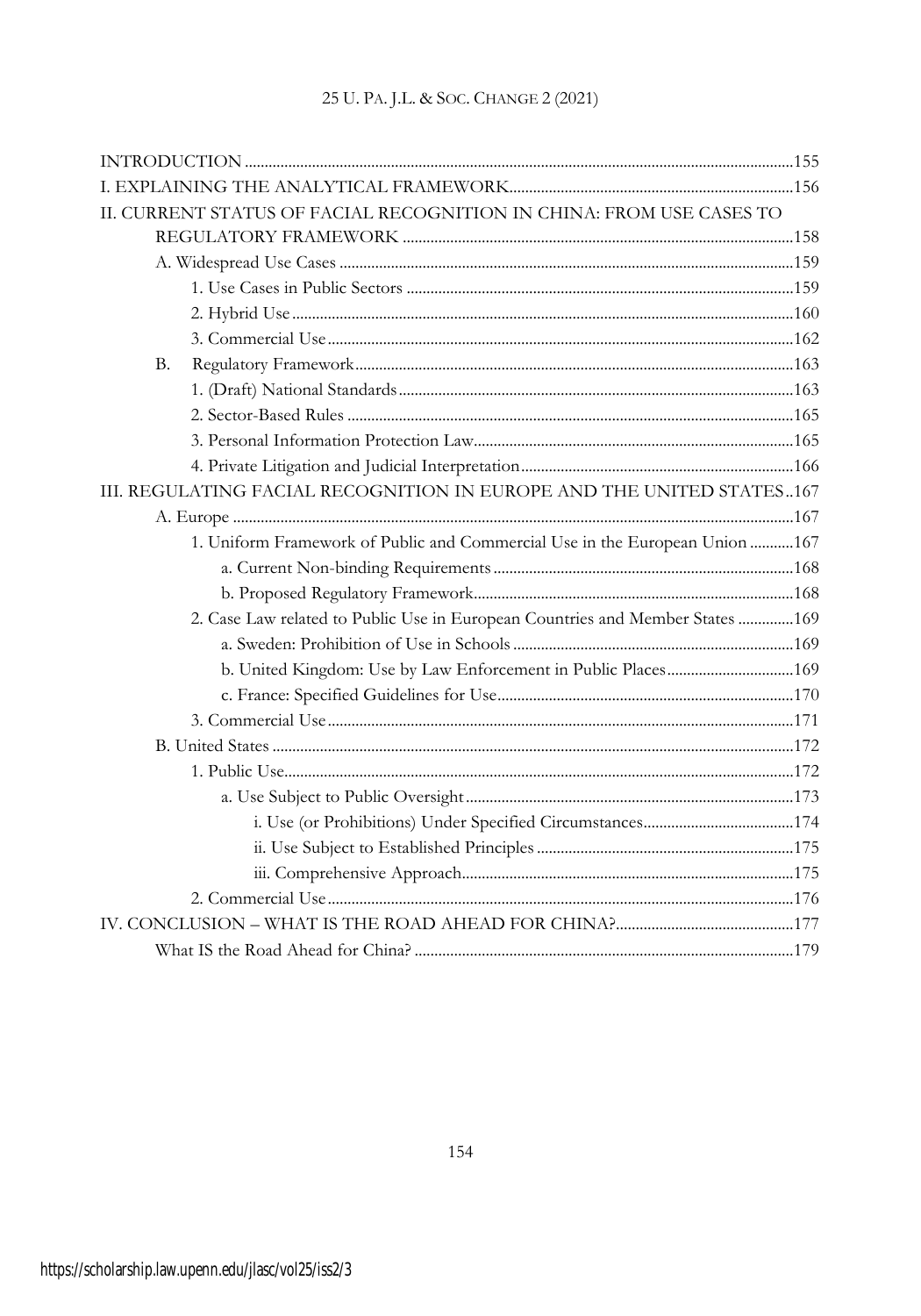| II. CURRENT STATUS OF FACIAL RECOGNITION IN CHINA: FROM USE CASES TO  |                                                                                |  |
|-----------------------------------------------------------------------|--------------------------------------------------------------------------------|--|
|                                                                       |                                                                                |  |
|                                                                       |                                                                                |  |
|                                                                       |                                                                                |  |
|                                                                       |                                                                                |  |
|                                                                       |                                                                                |  |
| В.                                                                    |                                                                                |  |
|                                                                       |                                                                                |  |
|                                                                       |                                                                                |  |
|                                                                       |                                                                                |  |
|                                                                       |                                                                                |  |
| III. REGULATING FACIAL RECOGNITION IN EUROPE AND THE UNITED STATES167 |                                                                                |  |
|                                                                       |                                                                                |  |
|                                                                       | 1. Uniform Framework of Public and Commercial Use in the European Union  167   |  |
|                                                                       |                                                                                |  |
|                                                                       |                                                                                |  |
|                                                                       | 2. Case Law related to Public Use in European Countries and Member States  169 |  |
|                                                                       |                                                                                |  |
|                                                                       |                                                                                |  |
|                                                                       |                                                                                |  |
|                                                                       |                                                                                |  |
|                                                                       |                                                                                |  |
|                                                                       |                                                                                |  |
|                                                                       |                                                                                |  |
|                                                                       |                                                                                |  |
|                                                                       |                                                                                |  |
|                                                                       |                                                                                |  |
|                                                                       |                                                                                |  |
|                                                                       |                                                                                |  |
|                                                                       |                                                                                |  |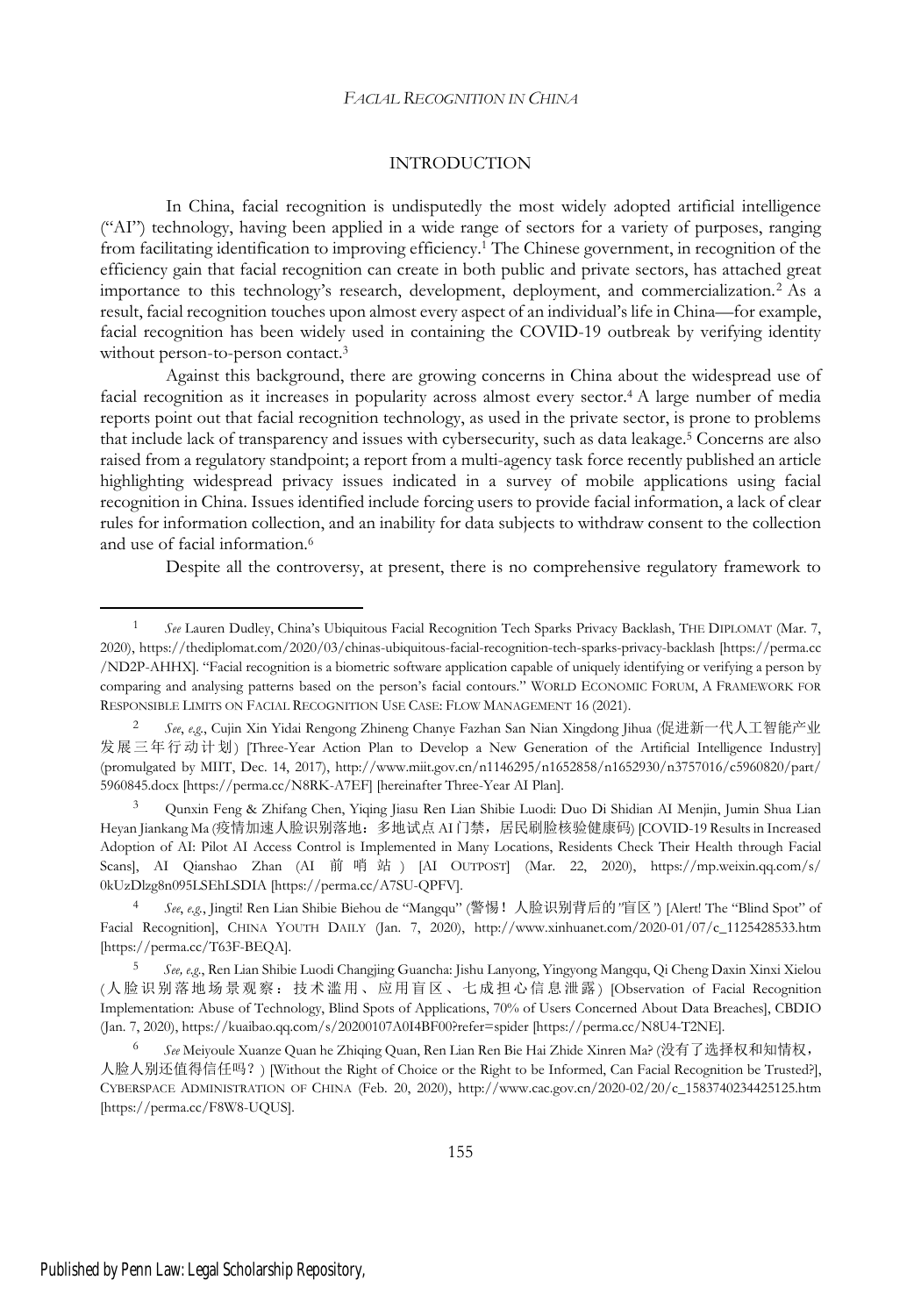### INTRODUCTION

In China, facial recognition is undisputedly the most widely adopted artificial intelligence ("AI") technology, having been applied in a wide range of sectors for a variety of purposes, ranging from facilitating identification to improving efficiency.<sup>1</sup> The Chinese government, in recognition of the efficiency gain that facial recognition can create in both public and private sectors, has attached great importance to this technology's research, development, deployment, and commercialization.<sup>2</sup> As a result, facial recognition touches upon almost every aspect of an individual's life in China—for example, facial recognition has been widely used in containing the COVID-19 outbreak by verifying identity without person-to-person contact.<sup>3</sup>

Against this background, there are growing concerns in China about the widespread use of facial recognition as it increases in popularity across almost every sector.<sup>4</sup> A large number of media reports point out that facial recognition technology, as used in the private sector, is prone to problems that include lack of transparency and issues with cybersecurity, such as data leakage.<sup>5</sup> Concerns are also raised from a regulatory standpoint; a report from a multi-agency task force recently published an article highlighting widespread privacy issues indicated in a survey of mobile applications using facial recognition in China. Issues identified include forcing users to provide facial information, a lack of clear rules for information collection, and an inability for data subjects to withdraw consent to the collection and use of facial information.<sup>6</sup>

Despite all the controversy, at present, there is no comprehensive regulatory framework to

<sup>1</sup> *See* Lauren Dudley, China's Ubiquitous Facial Recognition Tech Sparks Privacy Backlash, THE DIPLOMAT (Mar. 7, 2020), https://thediplomat.com/2020/03/chinas-ubiquitous-facial-recognition-tech-sparks-privacy-backlash [https://perma.cc /ND2P-AHHX]. "Facial recognition is a biometric software application capable of uniquely identifying or verifying a person by comparing and analysing patterns based on the person's facial contours." WORLD ECONOMIC FORUM, A FRAMEWORK FOR RESPONSIBLE LIMITS ON FACIAL RECOGNITION USE CASE: FLOW MANAGEMENT 16 (2021).

<sup>2</sup> *See*, *e.g.*, Cujin Xin Yidai Rengong Zhineng Chanye Fazhan San Nian Xingdong Jihua (促进新一代人工智能产业 发展三年行动计划) [Three-Year Action Plan to Develop a New Generation of the Artificial Intelligence Industry] (promulgated by MIIT, Dec. 14, 2017), http://www.miit.gov.cn/n1146295/n1652858/n1652930/n3757016/c5960820/part/ 5960845.docx [https://perma.cc/N8RK-A7EF] [hereinafter Three-Year AI Plan].

<sup>3</sup> Qunxin Feng & Zhifang Chen, Yiqing Jiasu Ren Lian Shibie Luodi: Duo Di Shidian AI Menjin, Jumin Shua Lian Heyan Jiankang Ma (疫情加速人脸识别落地: 多地试点 AI 门禁, 居民刷脸核验健康码) [COVID-19 Results in Increased Adoption of AI: Pilot AI Access Control is Implemented in Many Locations, Residents Check Their Health through Facial Scans], AI Qianshao Zhan (AI 前哨站) [AI OUTPOST] (Mar. 22, 2020), https://mp.weixin.qq.com/s/ 0kUzDlzg8n095LSEhLSDIA [https://perma.cc/A7SU-QPFV].

<sup>4</sup> *See*, *e.g.*, Jingti! Ren Lian Shibie Biehou de "Mangqu" (警惕!人脸识别背后的*"*盲区*"*) [Alert! The "Blind Spot" of Facial Recognition], CHINA YOUTH DAILY (Jan. 7, 2020), http://www.xinhuanet.com/2020-01/07/c\_1125428533.htm [https://perma.cc/T63F-BEQA].

<sup>5</sup> *See, e.g.*, Ren Lian Shibie Luodi Changjing Guancha: Jishu Lanyong, Yingyong Mangqu, Qi Cheng Daxin Xinxi Xielou (人脸识别落地场景观察:技术滥用、应用盲区、七成担心信息泄露 ) [Observation of Facial Recognition Implementation: Abuse of Technology, Blind Spots of Applications, 70% of Users Concerned About Data Breaches], CBDIO (Jan. 7, 2020), https://kuaibao.qq.com/s/20200107A0I4BF00?refer=spider [https://perma.cc/N8U4-T2NE].

<sup>6</sup> *See* Meiyoule Xuanze Quan he Zhiqing Quan, Ren Lian Ren Bie Hai Zhide Xinren Ma? (没有了选择权和知情权, 人脸人别还值得信任吗?) [Without the Right of Choice or the Right to be Informed, Can Facial Recognition be Trusted?], CYBERSPACE ADMINISTRATION OF CHINA (Feb. 20, 2020), http://www.cac.gov.cn/2020-02/20/c\_1583740234425125.htm [https://perma.cc/F8W8-UQUS].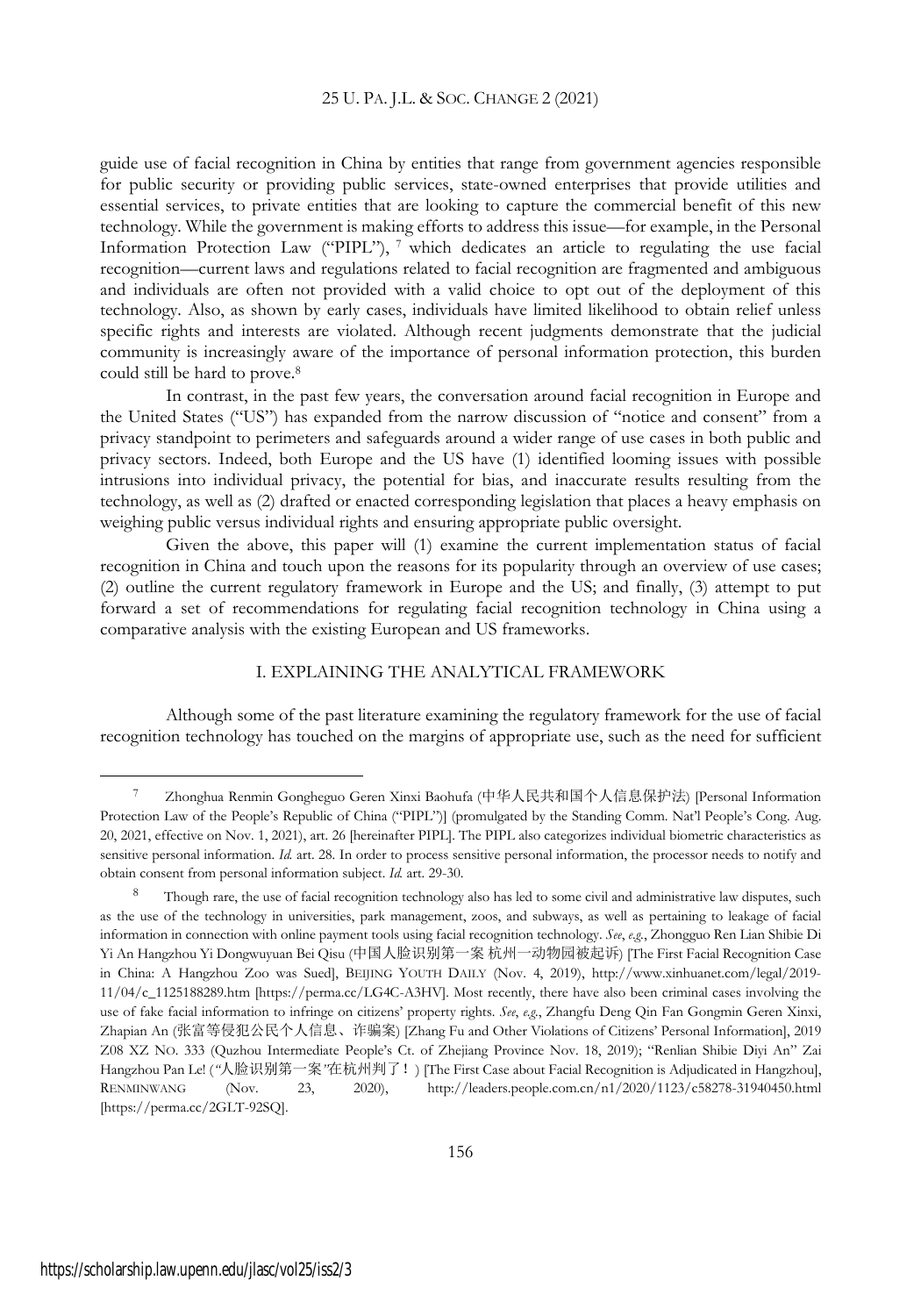guide use of facial recognition in China by entities that range from government agencies responsible for public security or providing public services, state-owned enterprises that provide utilities and essential services, to private entities that are looking to capture the commercial benefit of this new technology. While the government is making efforts to address this issue—for example, in the Personal Information Protection Law ("PIPL"), <sup>7</sup> which dedicates an article to regulating the use facial recognition—current laws and regulations related to facial recognition are fragmented and ambiguous and individuals are often not provided with a valid choice to opt out of the deployment of this technology. Also, as shown by early cases, individuals have limited likelihood to obtain relief unless specific rights and interests are violated. Although recent judgments demonstrate that the judicial community is increasingly aware of the importance of personal information protection, this burden could still be hard to prove.<sup>8</sup>

In contrast, in the past few years, the conversation around facial recognition in Europe and the United States ("US") has expanded from the narrow discussion of "notice and consent" from a privacy standpoint to perimeters and safeguards around a wider range of use cases in both public and privacy sectors. Indeed, both Europe and the US have (1) identified looming issues with possible intrusions into individual privacy, the potential for bias, and inaccurate results resulting from the technology, as well as (2) drafted or enacted corresponding legislation that places a heavy emphasis on weighing public versus individual rights and ensuring appropriate public oversight.

Given the above, this paper will (1) examine the current implementation status of facial recognition in China and touch upon the reasons for its popularity through an overview of use cases; (2) outline the current regulatory framework in Europe and the US; and finally, (3) attempt to put forward a set of recommendations for regulating facial recognition technology in China using a comparative analysis with the existing European and US frameworks.

### I. EXPLAINING THE ANALYTICAL FRAMEWORK

Although some of the past literature examining the regulatory framework for the use of facial recognition technology has touched on the margins of appropriate use, such as the need for sufficient

<sup>7</sup> Zhonghua Renmin Gongheguo Geren Xinxi Baohufa (中华人民共和国个人信息保护法) [Personal Information Protection Law of the People's Republic of China ("PIPL")] (promulgated by the Standing Comm. Nat'l People's Cong. Aug. 20, 2021, effective on Nov. 1, 2021), art. 26 [hereinafter PIPL]. The PIPL also categorizes individual biometric characteristics as sensitive personal information. *Id.* art. 28. In order to process sensitive personal information, the processor needs to notify and obtain consent from personal information subject. *Id.* art. 29-30.

Though rare, the use of facial recognition technology also has led to some civil and administrative law disputes, such as the use of the technology in universities, park management, zoos, and subways, as well as pertaining to leakage of facial information in connection with online payment tools using facial recognition technology. *See*, *e.g.*, Zhongguo Ren Lian Shibie Di Yi An Hangzhou Yi Dongwuyuan Bei Qisu (中国人脸识别第一案 杭州一动物园被起诉) [The First Facial Recognition Case in China: A Hangzhou Zoo was Sued], BEIJING YOUTH DAILY (Nov. 4, 2019), http://www.xinhuanet.com/legal/2019- 11/04/c\_1125188289.htm [https://perma.cc/LG4C-A3HV]. Most recently, there have also been criminal cases involving the use of fake facial information to infringe on citizens' property rights. *See*, *e.g.*, Zhangfu Deng Qin Fan Gongmin Geren Xinxi, Zhapian An (张富等侵犯公民个人信息、诈骗案) [Zhang Fu and Other Violations of Citizens' Personal Information], 2019 Z08 XZ NO. 333 (Quzhou Intermediate People's Ct. of Zhejiang Province Nov. 18, 2019); "Renlian Shibie Diyi An" Zai Hangzhou Pan Le! (*"*人脸识别第一案*"*在杭州判了!) [The First Case about Facial Recognition is Adjudicated in Hangzhou], RENMINWANG (Nov. 23, 2020), http://leaders.people.com.cn/n1/2020/1123/c58278-31940450.html [https://perma.cc/2GLT-92SQ].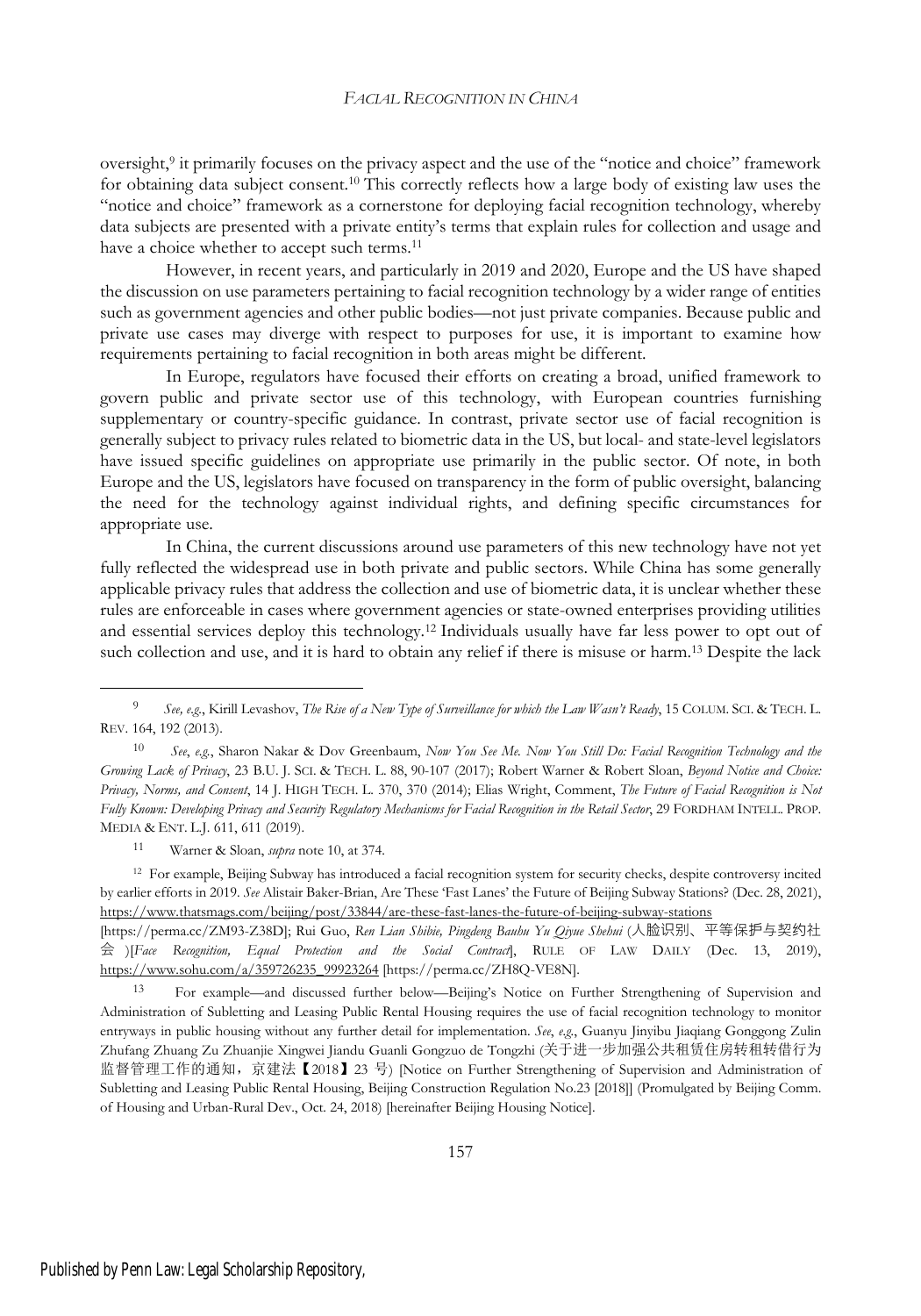oversight,<sup>9</sup> it primarily focuses on the privacy aspect and the use of the "notice and choice" framework for obtaining data subject consent.<sup>10</sup> This correctly reflects how a large body of existing law uses the "notice and choice" framework as a cornerstone for deploying facial recognition technology, whereby data subjects are presented with a private entity's terms that explain rules for collection and usage and have a choice whether to accept such terms.<sup>11</sup>

However, in recent years, and particularly in 2019 and 2020, Europe and the US have shaped the discussion on use parameters pertaining to facial recognition technology by a wider range of entities such as government agencies and other public bodies—not just private companies. Because public and private use cases may diverge with respect to purposes for use, it is important to examine how requirements pertaining to facial recognition in both areas might be different.

In Europe, regulators have focused their efforts on creating a broad, unified framework to govern public and private sector use of this technology, with European countries furnishing supplementary or country-specific guidance. In contrast, private sector use of facial recognition is generally subject to privacy rules related to biometric data in the US, but local- and state-level legislators have issued specific guidelines on appropriate use primarily in the public sector. Of note, in both Europe and the US, legislators have focused on transparency in the form of public oversight, balancing the need for the technology against individual rights, and defining specific circumstances for appropriate use.

In China, the current discussions around use parameters of this new technology have not yet fully reflected the widespread use in both private and public sectors. While China has some generally applicable privacy rules that address the collection and use of biometric data, it is unclear whether these rules are enforceable in cases where government agencies or state-owned enterprises providing utilities and essential services deploy this technology.<sup>12</sup> Individuals usually have far less power to opt out of such collection and use, and it is hard to obtain any relief if there is misuse or harm.<sup>13</sup> Despite the lack

<sup>11</sup> Warner & Sloan, *supra* note 10, at 374.

<sup>12</sup> For example, Beijing Subway has introduced a facial recognition system for security checks, despite controversy incited by earlier efforts in 2019. *See* Alistair Baker-Brian, Are These 'Fast Lanes' the Future of Beijing Subway Stations? (Dec. 28, 2021), https://www.thatsmags.com/beijing/post/33844/are-these-fast-lanes-the-future-of-beijing-subway-stations

[https://perma.cc/ZM93-Z38D]; Rui Guo, *Ren Lian Shibie, Pingdeng Bauhu Yu Qiyue Shehui* (人脸识别、平等保护与契约社 会 )[*Face Recognition, Equal Protection and the Social Contract*], RULE OF LAW DAILY (Dec. 13, 2019), https://www.sohu.com/a/359726235\_99923264 [https://perma.cc/ZH8Q-VE8N].

<sup>13</sup> For example—and discussed further below—Beijing's Notice on Further Strengthening of Supervision and Administration of Subletting and Leasing Public Rental Housing requires the use of facial recognition technology to monitor entryways in public housing without any further detail for implementation. *See*, *e.g.*, Guanyu Jinyibu Jiaqiang Gonggong Zulin Zhufang Zhuang Zu Zhuanjie Xingwei Jiandu Guanli Gongzuo de Tongzhi (关于进一步加强公共租赁住房转租转借行为 监督管理工作的通知, 京建法【2018】23 号) [Notice on Further Strengthening of Supervision and Administration of Subletting and Leasing Public Rental Housing, Beijing Construction Regulation No.23 [2018]] (Promulgated by Beijing Comm. of Housing and Urban-Rural Dev., Oct. 24, 2018) [hereinafter Beijing Housing Notice].

<sup>9</sup> *See, e.g.*, Kirill Levashov, *The Rise of a New Type of Surveillance for which the Law Wasn't Ready*, 15 COLUM. SCI. & TECH. L. REV. 164, 192 (2013).

<sup>10</sup> *See*, *e.g.*, Sharon Nakar & Dov Greenbaum, *Now You See Me. Now You Still Do: Facial Recognition Technology and the Growing Lack of Privacy*, 23 B.U. J. SCI. & TECH. L. 88, 90-107 (2017); Robert Warner & Robert Sloan, *Beyond Notice and Choice: Privacy, Norms, and Consent*, 14 J. HIGH TECH. L. 370, 370 (2014); Elias Wright, Comment, *The Future of Facial Recognition is Not* Fully Known: Developing Privacy and Security Regulatory Mechanisms for Facial Recognition in the Retail Sector, 29 FORDHAM INTELL. PROP. MEDIA & ENT. L.J. 611, 611 (2019).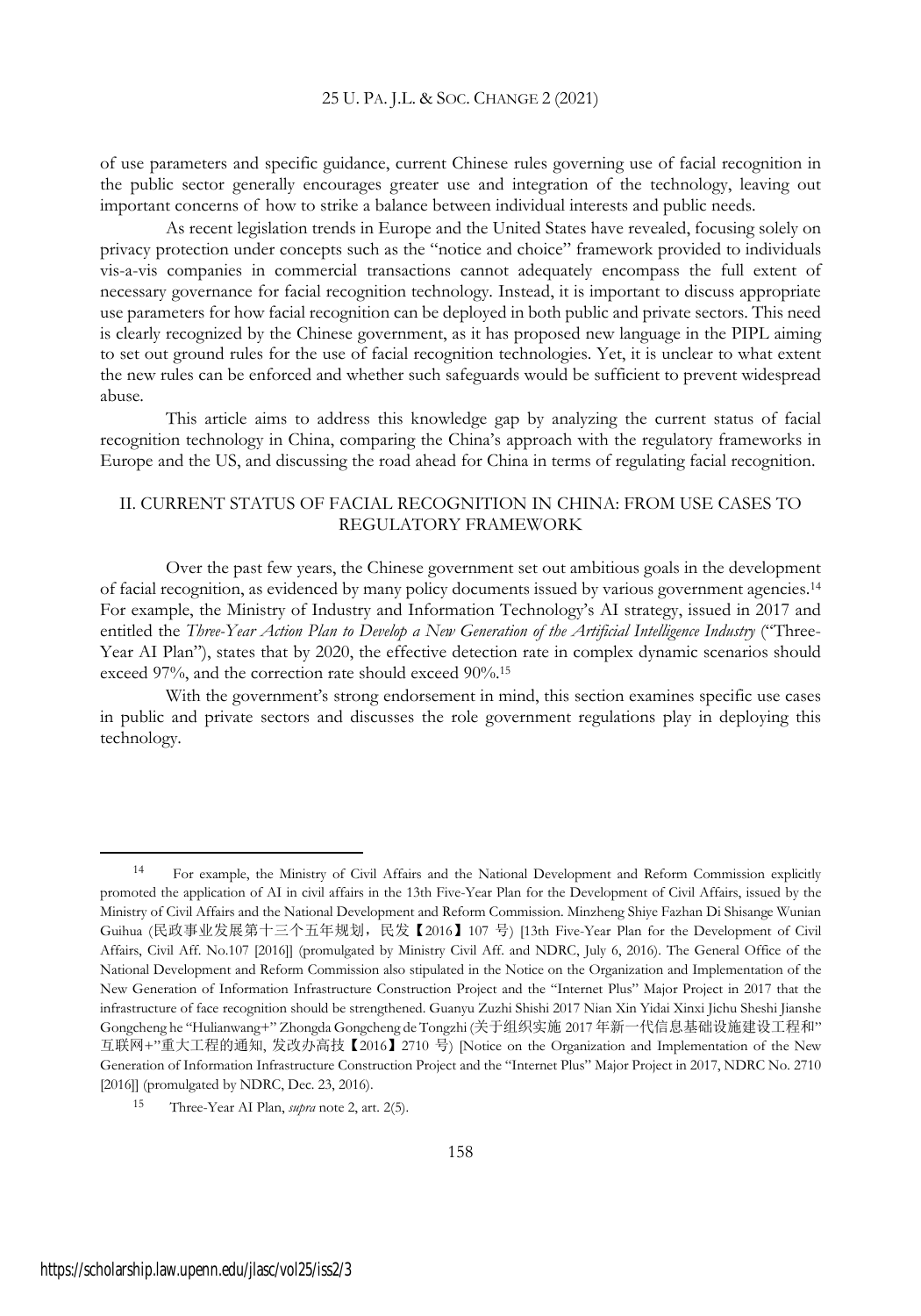of use parameters and specific guidance, current Chinese rules governing use of facial recognition in the public sector generally encourages greater use and integration of the technology, leaving out important concerns of how to strike a balance between individual interests and public needs.

As recent legislation trends in Europe and the United States have revealed, focusing solely on privacy protection under concepts such as the "notice and choice" framework provided to individuals vis-a-vis companies in commercial transactions cannot adequately encompass the full extent of necessary governance for facial recognition technology. Instead, it is important to discuss appropriate use parameters for how facial recognition can be deployed in both public and private sectors. This need is clearly recognized by the Chinese government, as it has proposed new language in the PIPL aiming to set out ground rules for the use of facial recognition technologies. Yet, it is unclear to what extent the new rules can be enforced and whether such safeguards would be sufficient to prevent widespread abuse.

This article aims to address this knowledge gap by analyzing the current status of facial recognition technology in China, comparing the China's approach with the regulatory frameworks in Europe and the US, and discussing the road ahead for China in terms of regulating facial recognition.

### II. CURRENT STATUS OF FACIAL RECOGNITION IN CHINA: FROM USE CASES TO REGULATORY FRAMEWORK

Over the past few years, the Chinese government set out ambitious goals in the development of facial recognition, as evidenced by many policy documents issued by various government agencies.<sup>14</sup> For example, the Ministry of Industry and Information Technology's AI strategy, issued in 2017 and entitled the *Three-Year Action Plan to Develop a New Generation of the Artificial Intelligence Industry* ("Three-Year AI Plan"), states that by 2020, the effective detection rate in complex dynamic scenarios should exceed 97%, and the correction rate should exceed 90%.<sup>15</sup>

With the government's strong endorsement in mind, this section examines specific use cases in public and private sectors and discusses the role government regulations play in deploying this technology.

<sup>14</sup> For example, the Ministry of Civil Affairs and the National Development and Reform Commission explicitly promoted the application of AI in civil affairs in the 13th Five-Year Plan for the Development of Civil Affairs, issued by the Ministry of Civil Affairs and the National Development and Reform Commission. Minzheng Shiye Fazhan Di Shisange Wunian Guihua (民政事业发展第十三个五年规划,民发【2016】107 号) [13th Five-Year Plan for the Development of Civil Affairs, Civil Aff. No.107 [2016]] (promulgated by Ministry Civil Aff. and NDRC, July 6, 2016). The General Office of the National Development and Reform Commission also stipulated in the Notice on the Organization and Implementation of the New Generation of Information Infrastructure Construction Project and the "Internet Plus" Major Project in 2017 that the infrastructure of face recognition should be strengthened. Guanyu Zuzhi Shishi 2017 Nian Xin Yidai Xinxi Jichu Sheshi Jianshe Gongcheng he "Hulianwang+" Zhongda Gongcheng de Tongzhi (关于组织实施 2017 年新一代信息基础设施建设工程和" 互联网+"重大工程的通知, 发改办高技【2016】2710 号) [Notice on the Organization and Implementation of the New Generation of Information Infrastructure Construction Project and the "Internet Plus" Major Project in 2017, NDRC No. 2710 [2016]] (promulgated by NDRC, Dec. 23, 2016).

Three-Year AI Plan, *supra* note 2, art. 2(5).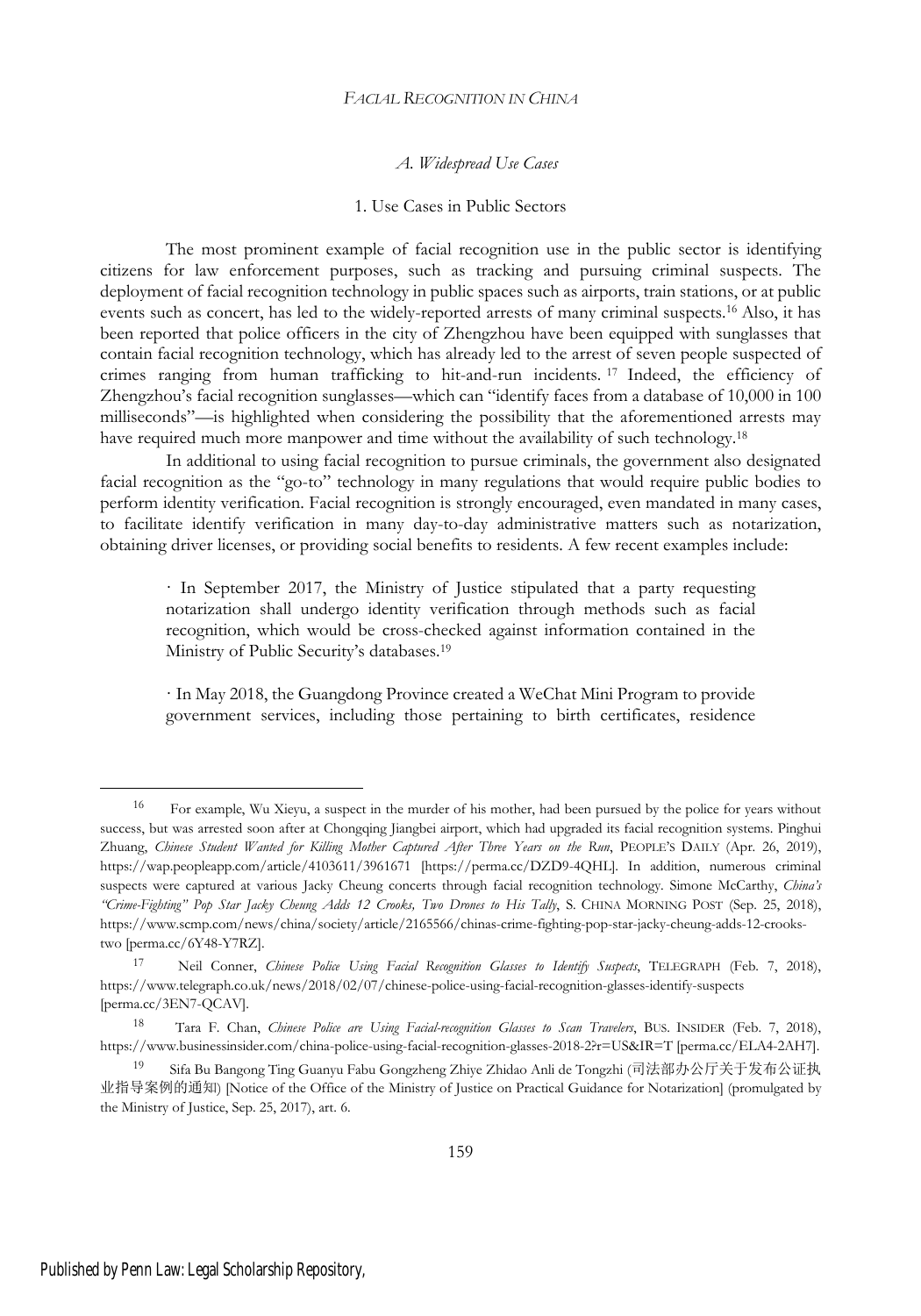### *A. Widespread Use Cases*

### 1. Use Cases in Public Sectors

The most prominent example of facial recognition use in the public sector is identifying citizens for law enforcement purposes, such as tracking and pursuing criminal suspects. The deployment of facial recognition technology in public spaces such as airports, train stations, or at public events such as concert, has led to the widely-reported arrests of many criminal suspects.<sup>16</sup> Also, it has been reported that police officers in the city of Zhengzhou have been equipped with sunglasses that contain facial recognition technology, which has already led to the arrest of seven people suspected of crimes ranging from human trafficking to hit-and-run incidents. <sup>17</sup> Indeed, the efficiency of Zhengzhou's facial recognition sunglasses—which can "identify faces from a database of 10,000 in 100 milliseconds"—is highlighted when considering the possibility that the aforementioned arrests may have required much more manpower and time without the availability of such technology.<sup>18</sup>

In additional to using facial recognition to pursue criminals, the government also designated facial recognition as the "go-to" technology in many regulations that would require public bodies to perform identity verification. Facial recognition is strongly encouraged, even mandated in many cases, to facilitate identify verification in many day-to-day administrative matters such as notarization, obtaining driver licenses, or providing social benefits to residents. A few recent examples include:

· In September 2017, the Ministry of Justice stipulated that a party requesting notarization shall undergo identity verification through methods such as facial recognition, which would be cross-checked against information contained in the Ministry of Public Security's databases.<sup>19</sup>

· In May 2018, the Guangdong Province created a WeChat Mini Program to provide government services, including those pertaining to birth certificates, residence

<sup>16</sup> For example, Wu Xieyu, a suspect in the murder of his mother, had been pursued by the police for years without success, but was arrested soon after at Chongqing Jiangbei airport, which had upgraded its facial recognition systems. Pinghui Zhuang, *Chinese Student Wanted for Killing Mother Captured After Three Years on the Run*, PEOPLE'S DAILY (Apr. 26, 2019), https://wap.peopleapp.com/article/4103611/3961671 [https://perma.cc/DZD9-4QHL]. In addition, numerous criminal suspects were captured at various Jacky Cheung concerts through facial recognition technology. Simone McCarthy, *China's "Crime-Fighting" Pop Star Jacky Cheung Adds 12 Crooks, Two Drones to His Tally*, S. CHINA MORNING POST (Sep. 25, 2018), https://www.scmp.com/news/china/society/article/2165566/chinas-crime-fighting-pop-star-jacky-cheung-adds-12-crookstwo [perma.cc/6Y48-Y7RZ].

<sup>17</sup> Neil Conner, *Chinese Police Using Facial Recognition Glasses to Identify Suspects*, TELEGRAPH (Feb. 7, 2018), https://www.telegraph.co.uk/news/2018/02/07/chinese-police-using-facial-recognition-glasses-identify-suspects [perma.cc/3EN7-QCAV].

<sup>18</sup> Tara F. Chan, *Chinese Police are Using Facial-recognition Glasses to Scan Travelers*, BUS. INSIDER (Feb. 7, 2018), https://www.businessinsider.com/china-police-using-facial-recognition-glasses-2018-2?r=US&IR=T [perma.cc/ELA4-2AH7].

<sup>19</sup> Sifa Bu Bangong Ting Guanyu Fabu Gongzheng Zhiye Zhidao Anli de Tongzhi (司法部办公厅关于发布公证执 业指导案例的通知) [Notice of the Office of the Ministry of Justice on Practical Guidance for Notarization] (promulgated by the Ministry of Justice, Sep. 25, 2017), art. 6.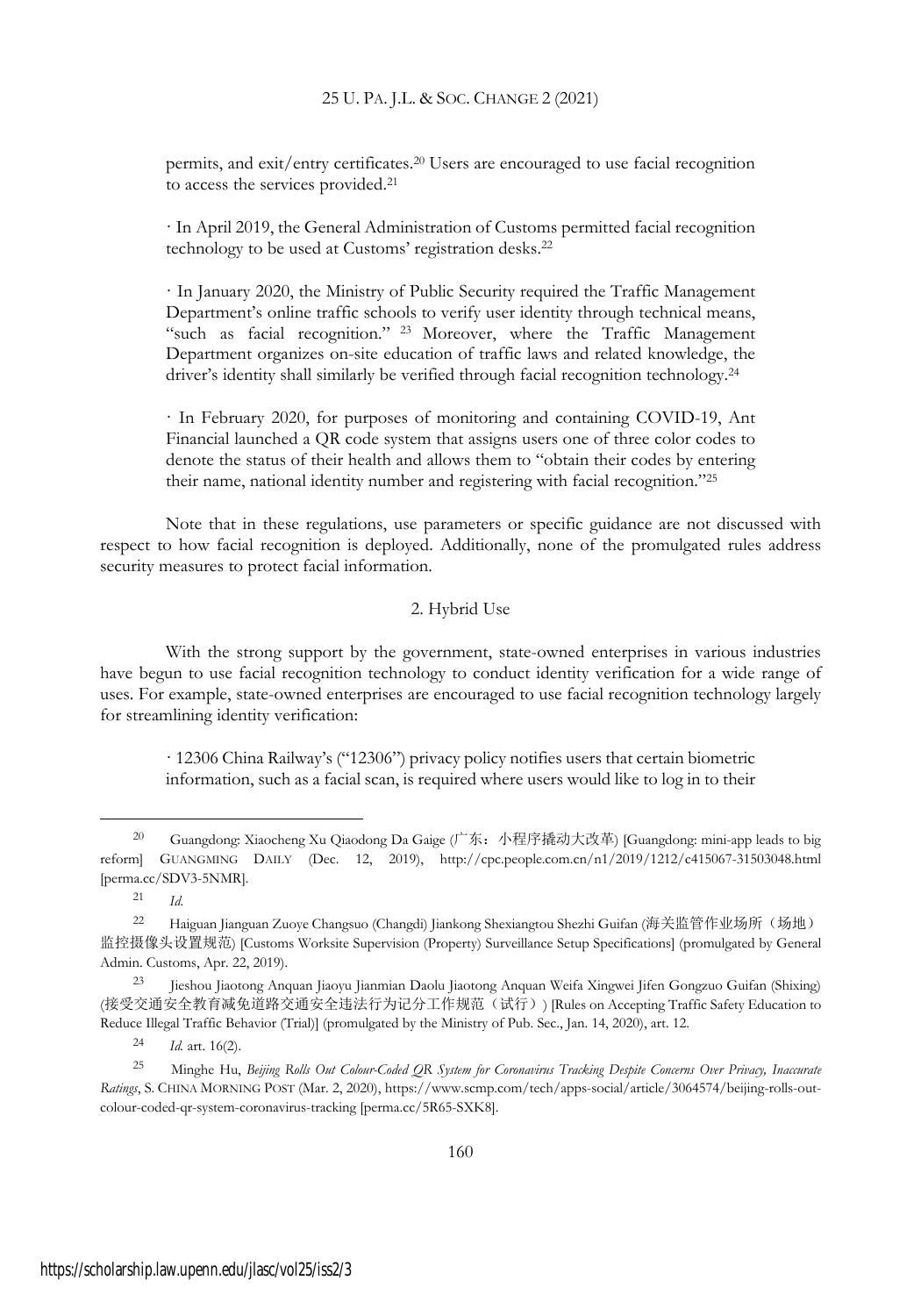permits, and exit/entry certificates.<sup>20</sup> Users are encouraged to use facial recognition to access the services provided.<sup>21</sup>

· In April 2019, the General Administration of Customs permitted facial recognition technology to be used at Customs' registration desks.<sup>22</sup>

· In January 2020, the Ministry of Public Security required the Traffic Management Department's online traffic schools to verify user identity through technical means, "such as facial recognition." <sup>23</sup> Moreover, where the Traffic Management Department organizes on-site education of traffic laws and related knowledge, the driver's identity shall similarly be verified through facial recognition technology.<sup>24</sup>

· In February 2020, for purposes of monitoring and containing COVID-19, Ant Financial launched a QR code system that assigns users one of three color codes to denote the status of their health and allows them to "obtain their codes by entering their name, national identity number and registering with facial recognition."<sup>25</sup>

Note that in these regulations, use parameters or specific guidance are not discussed with respect to how facial recognition is deployed. Additionally, none of the promulgated rules address security measures to protect facial information.

### 2. Hybrid Use

With the strong support by the government, state-owned enterprises in various industries have begun to use facial recognition technology to conduct identity verification for a wide range of uses. For example, state-owned enterprises are encouraged to use facial recognition technology largely for streamlining identity verification:

· 12306 China Railway's ("12306") privacy policy notifies users that certain biometric information, such as a facial scan, is required where users would like to log in to their

<sup>20</sup> Guangdong: Xiaocheng Xu Qiaodong Da Gaige  $( \nabla \cdot \hat{\mathbf{x}} \cdot \hat{\mathbf{y}} \cdot \hat{\mathbf{z}} \cdot \hat{\mathbf{z}} \cdot \hat{\mathbf{y}} \cdot \hat{\mathbf{z}} \cdot \hat{\mathbf{z}} \cdot \hat{\mathbf{y}}$  [Guangdong: mini-app leads to big reform] GUANGMING DAILY (Dec. 12, 2019), http://cpc.people.com.cn/n1/2019/1212/c415067-31503048.html [perma.cc/SDV3-5NMR].

<sup>21</sup> *Id*.

<sup>22</sup> Haiguan Jianguan Zuoye Changsuo (Changdi) Jiankong Shexiangtou Shezhi Guifan (海关监管作业场所(场地) 监控摄像头设置规范) [Customs Worksite Supervision (Property) Surveillance Setup Specifications] (promulgated by General Admin. Customs, Apr. 22, 2019).

<sup>23</sup> Jieshou Jiaotong Anquan Jiaoyu Jianmian Daolu Jiaotong Anquan Weifa Xingwei Jifen Gongzuo Guifan (Shixing) (接受交通安全教育减免道路交通安全违法行为记分工作规范(试行)) [Rules on Accepting Traffic Safety Education to Reduce Illegal Traffic Behavior (Trial)] (promulgated by the Ministry of Pub. Sec., Jan. 14, 2020), art. 12.

<sup>24</sup> *Id.* art. 16(2).

<sup>25</sup> Minghe Hu, *Beijing Rolls Out Colour-Coded QR System for Coronavirus Tracking Despite Concerns Over Privacy, Inaccurate Ratings*, S. CHINA MORNING POST (Mar. 2, 2020), https://www.scmp.com/tech/apps-social/article/3064574/beijing-rolls-outcolour-coded-qr-system-coronavirus-tracking [perma.cc/5R65-SXK8].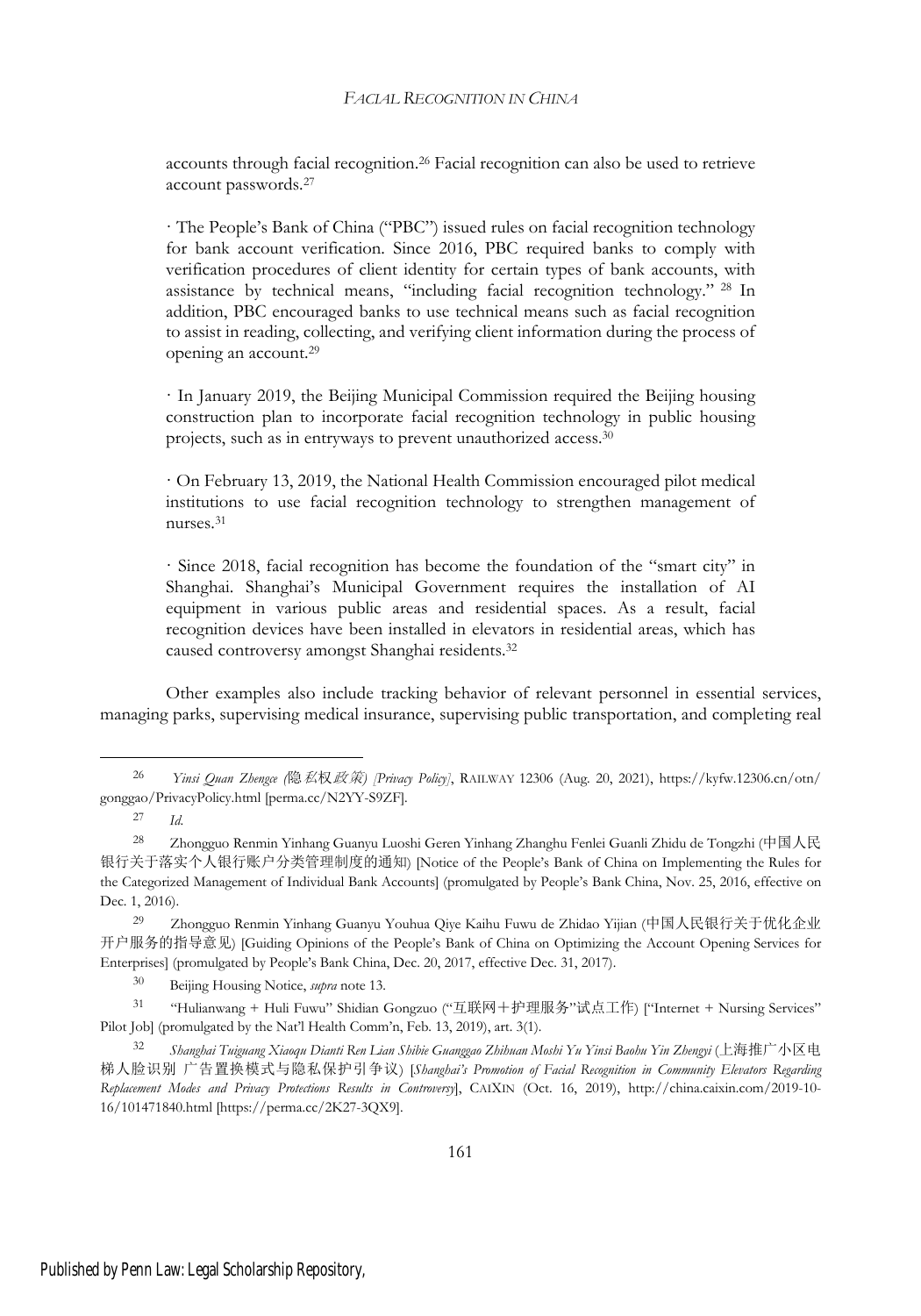accounts through facial recognition.<sup>26</sup> Facial recognition can also be used to retrieve account passwords.<sup>27</sup>

· The People's Bank of China ("PBC") issued rules on facial recognition technology for bank account verification. Since 2016, PBC required banks to comply with verification procedures of client identity for certain types of bank accounts, with assistance by technical means, "including facial recognition technology." <sup>28</sup> In addition, PBC encouraged banks to use technical means such as facial recognition to assist in reading, collecting, and verifying client information during the process of opening an account.<sup>29</sup>

· In January 2019, the Beijing Municipal Commission required the Beijing housing construction plan to incorporate facial recognition technology in public housing projects, such as in entryways to prevent unauthorized access.<sup>30</sup>

· On February 13, 2019, the National Health Commission encouraged pilot medical institutions to use facial recognition technology to strengthen management of nurses.<sup>31</sup>

· Since 2018, facial recognition has become the foundation of the "smart city" in Shanghai. Shanghai's Municipal Government requires the installation of AI equipment in various public areas and residential spaces. As a result, facial recognition devices have been installed in elevators in residential areas, which has caused controversy amongst Shanghai residents.<sup>32</sup>

Other examples also include tracking behavior of relevant personnel in essential services, managing parks, supervising medical insurance, supervising public transportation, and completing real

<sup>31</sup> "Hulianwang + Huli Fuwu" Shidian Gongzuo ("互联网+护理服务"试点工作) ["Internet + Nursing Services" Pilot Job] (promulgated by the Nat'l Health Comm'n, Feb. 13, 2019), art. 3(1).

<sup>32</sup> *Shanghai Tuiguang Xiaoqu Dianti Ren Lian Shibie Guanggao Zhihuan Moshi Yu Yinsi Baohu Yin Zhengyi* (上海推广小区电 梯人脸识别 广告置换模式与隐私保护引争议) [*Shanghai's Promotion of Facial Recognition in Community Elevators Regarding Replacement Modes and Privacy Protections Results in Controversy*], CAIXIN (Oct. 16, 2019), http://china.caixin.com/2019-10- 16/101471840.html [https://perma.cc/2K27-3QX9].

<sup>26</sup> *Yinsi Quan Zhengce (*隐私权政策*) [Privacy Policy]*, RAILWAY 12306 (Aug. 20, 2021), https://kyfw.12306.cn/otn/ gonggao/PrivacyPolicy.html [perma.cc/N2YY-S9ZF].

<sup>27</sup> *Id*.

<sup>28</sup> Zhongguo Renmin Yinhang Guanyu Luoshi Geren Yinhang Zhanghu Fenlei Guanli Zhidu de Tongzhi (中国人民 银行关于落实个人银行账户分类管理制度的通知) [Notice of the People's Bank of China on Implementing the Rules for the Categorized Management of Individual Bank Accounts] (promulgated by People's Bank China, Nov. 25, 2016, effective on Dec. 1, 2016).

<sup>29</sup> Zhongguo Renmin Yinhang Guanyu Youhua Qiye Kaihu Fuwu de Zhidao Yijian (中国人民银行关于优化企业 开户服务的指导意见) [Guiding Opinions of the People's Bank of China on Optimizing the Account Opening Services for Enterprises] (promulgated by People's Bank China, Dec. 20, 2017, effective Dec. 31, 2017).

<sup>30</sup> Beijing Housing Notice, *supra* note 13.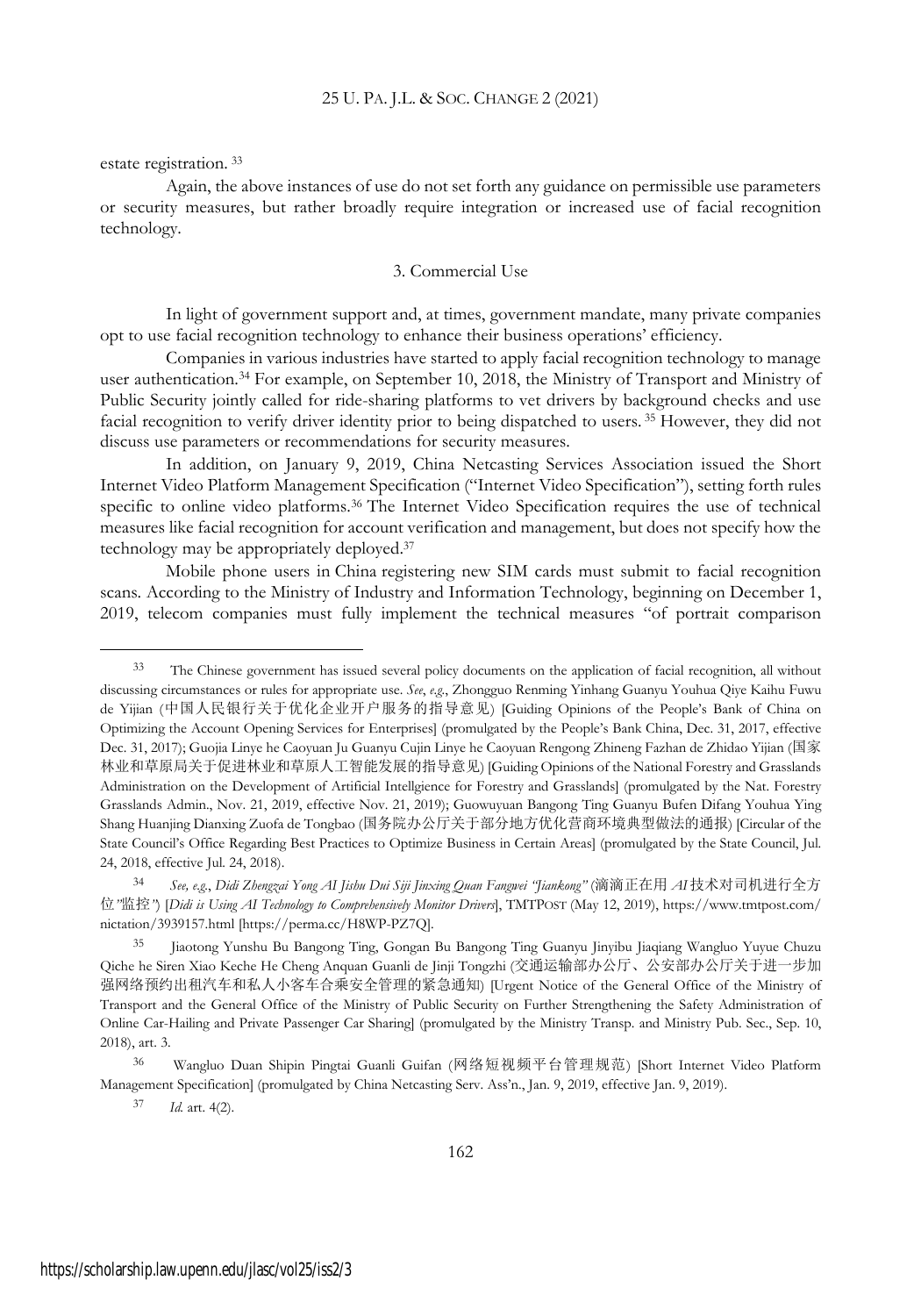estate registration. <sup>33</sup>

Again, the above instances of use do not set forth any guidance on permissible use parameters or security measures, but rather broadly require integration or increased use of facial recognition technology.

### 3. Commercial Use

In light of government support and, at times, government mandate, many private companies opt to use facial recognition technology to enhance their business operations' efficiency.

Companies in various industries have started to apply facial recognition technology to manage user authentication.<sup>34</sup> For example, on September 10, 2018, the Ministry of Transport and Ministry of Public Security jointly called for ride-sharing platforms to vet drivers by background checks and use facial recognition to verify driver identity prior to being dispatched to users. <sup>35</sup> However, they did not discuss use parameters or recommendations for security measures.

In addition, on January 9, 2019, China Netcasting Services Association issued the Short Internet Video Platform Management Specification ("Internet Video Specification"), setting forth rules specific to online video platforms.<sup>36</sup> The Internet Video Specification requires the use of technical measures like facial recognition for account verification and management, but does not specify how the technology may be appropriately deployed.<sup>37</sup>

Mobile phone users in China registering new SIM cards must submit to facial recognition scans. According to the Ministry of Industry and Information Technology, beginning on December 1, 2019, telecom companies must fully implement the technical measures "of portrait comparison

<sup>33</sup> The Chinese government has issued several policy documents on the application of facial recognition, all without discussing circumstances or rules for appropriate use. *See*, *e.g.*, Zhongguo Renming Yinhang Guanyu Youhua Qiye Kaihu Fuwu de Yijian (中国人民银行关于优化企业开户服务的指导意见) [Guiding Opinions of the People's Bank of China on Optimizing the Account Opening Services for Enterprises] (promulgated by the People's Bank China, Dec. 31, 2017, effective Dec. 31, 2017); Guojia Linye he Caoyuan Ju Guanyu Cujin Linye he Caoyuan Rengong Zhineng Fazhan de Zhidao Yijian (国家 林业和草原局关于促进林业和草原人工智能发展的指导意见) [Guiding Opinions of the National Forestry and Grasslands Administration on the Development of Artificial Intellgience for Forestry and Grasslands] (promulgated by the Nat. Forestry Grasslands Admin., Nov. 21, 2019, effective Nov. 21, 2019); Guowuyuan Bangong Ting Guanyu Bufen Difang Youhua Ying Shang Huanjing Dianxing Zuofa de Tongbao (国务院办公厅关于部分地方优化营商环境典型做法的通报) [Circular of the State Council's Office Regarding Best Practices to Optimize Business in Certain Areas] (promulgated by the State Council, Jul. 24, 2018, effective Jul. 24, 2018).

<sup>34</sup> *See, e.g.*, *Didi Zhengzai Yong AI Jishu Dui Siji Jinxing Quan Fangwei "Jiankong"* (滴滴正在用 *AI* 技术对司机进行全方 位*"*监控*"*) [*Didi is Using AI Technology to Comprehensively Monitor Drivers*], TMTPOST (May 12, 2019), https://www.tmtpost.com/ nictation/3939157.html [https://perma.cc/H8WP-PZ7Q].

<sup>35</sup> Jiaotong Yunshu Bu Bangong Ting, Gongan Bu Bangong Ting Guanyu Jinyibu Jiaqiang Wangluo Yuyue Chuzu Qiche he Siren Xiao Keche He Cheng Anquan Guanli de Jinji Tongzhi (交通运输部办公厅、公安部办公厅关于进一步加 强网络预约出租汽车和私人小客车合乘安全管理的紧急通知) [Urgent Notice of the General Office of the Ministry of Transport and the General Office of the Ministry of Public Security on Further Strengthening the Safety Administration of Online Car-Hailing and Private Passenger Car Sharing] (promulgated by the Ministry Transp. and Ministry Pub. Sec., Sep. 10, 2018), art. 3.

<sup>36</sup> Wangluo Duan Shipin Pingtai Guanli Guifan (网络短视频平台管理规范) [Short Internet Video Platform Management Specification] (promulgated by China Netcasting Serv. Ass'n., Jan. 9, 2019, effective Jan. 9, 2019).

<sup>37</sup> *Id.* art. 4(2).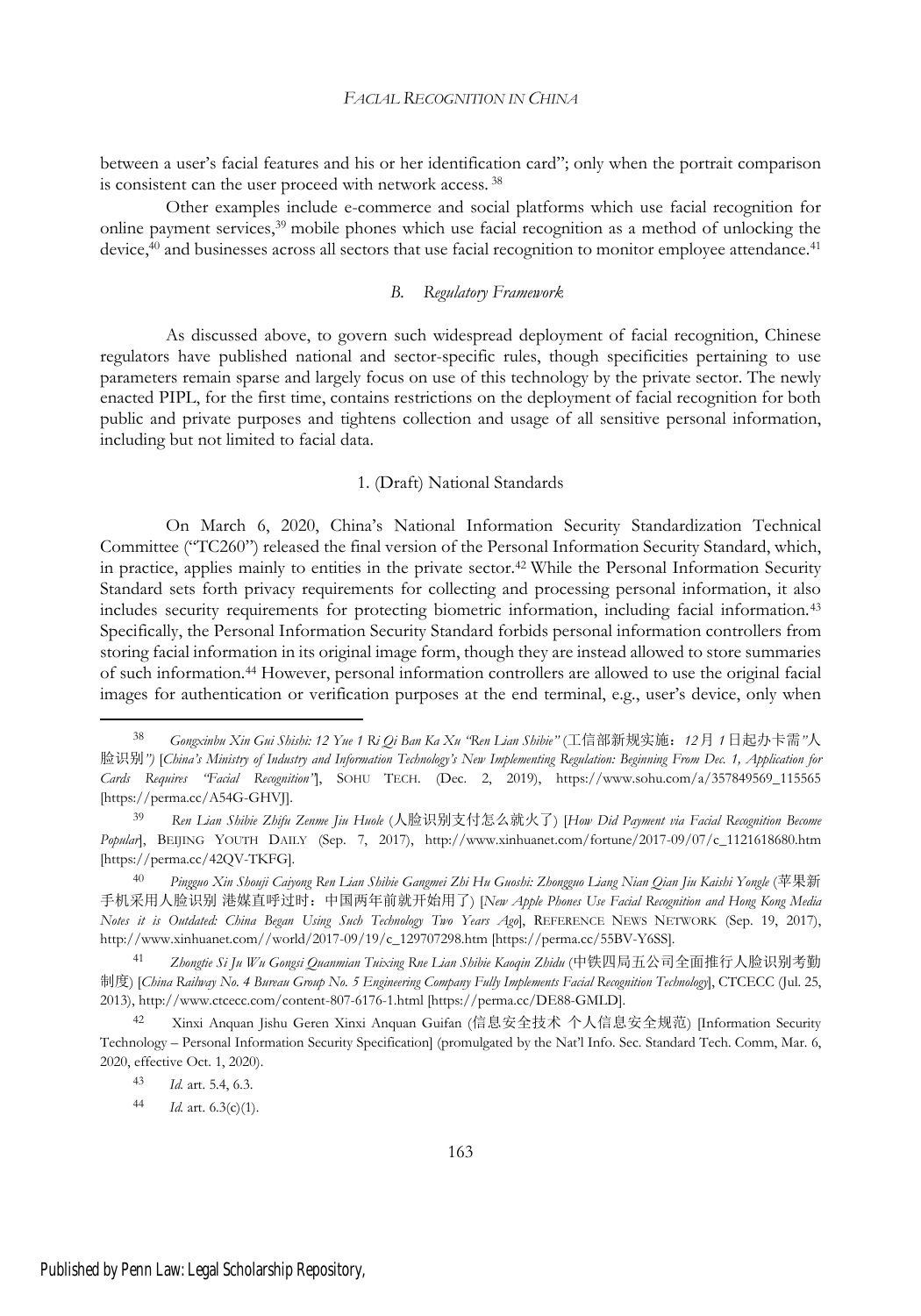between a user's facial features and his or her identification card"; only when the portrait comparison is consistent can the user proceed with network access. <sup>38</sup>

Other examples include e-commerce and social platforms which use facial recognition for online payment services,<sup>39</sup> mobile phones which use facial recognition as a method of unlocking the device,<sup>40</sup> and businesses across all sectors that use facial recognition to monitor employee attendance.<sup>41</sup>

### *B. Regulatory Framework*

As discussed above, to govern such widespread deployment of facial recognition, Chinese regulators have published national and sector-specific rules, though specificities pertaining to use parameters remain sparse and largely focus on use of this technology by the private sector. The newly enacted PIPL, for the first time, contains restrictions on the deployment of facial recognition for both public and private purposes and tightens collection and usage of all sensitive personal information, including but not limited to facial data.

#### 1. (Draft) National Standards

On March 6, 2020, China's National Information Security Standardization Technical Committee ("TC260") released the final version of the Personal Information Security Standard, which, in practice, applies mainly to entities in the private sector.<sup>42</sup> While the Personal Information Security Standard sets forth privacy requirements for collecting and processing personal information, it also includes security requirements for protecting biometric information, including facial information.<sup>43</sup> Specifically, the Personal Information Security Standard forbids personal information controllers from storing facial information in its original image form, though they are instead allowed to store summaries of such information.<sup>44</sup> However, personal information controllers are allowed to use the original facial images for authentication or verification purposes at the end terminal, e.g., user's device, only when

<sup>38</sup> *Gongxinbu Xin Gui Shishi: 12 Yue 1 Ri Qi Ban Ka Xu "Ren Lian Shibie"* (工信部新规实施:*12*月 *1*日起办卡需*"*人 脸识别") [China's Ministry of Industry and Information Technology's New Implementing Regulation: Beginning From Dec. 1, Application for *Cards Requires "Facial Recognition"*], SOHU TECH. (Dec. 2, 2019), https://www.sohu.com/a/357849569\_115565 [https://perma.cc/A54G-GHVJ].

<sup>39</sup> *Ren Lian Shibie Zhifu Zenme Jiu Huole* (人脸识别支付怎么就火了) [*How Did Payment via Facial Recognition Become Popular*], BEIJING YOUTH DAILY (Sep. 7, 2017), http://www.xinhuanet.com/fortune/2017-09/07/c\_1121618680.htm [https://perma.cc/42QV-TKFG].

Pingguo Xin Shouji Caiyong Ren Lian Shibie Gangmei Zhi Hu Guoshi: Zhongguo Liang Nian Qian Jiu Kaishi Yongle (苹果新 手机采用人脸识别 港媒直呼过时:中国两年前就开始用了) [*New Apple Phones Use Facial Recognition and Hong Kong Media Notes it is Outdated: China Began Using Such Technology Two Years Ago*], REFERENCE NEWS NETWORK (Sep. 19, 2017), http://www.xinhuanet.com//world/2017-09/19/c\_129707298.htm [https://perma.cc/55BV-Y6SS].

<sup>41</sup> *Zhongtie Si Ju Wu Gongsi Quanmian Tuixing Rne Lian Shibie Kaoqin Zhidu* (中铁四局五公司全面推行人脸识别考勤 制度) [China Railway No. 4 Bureau Group No. 5 Engineering Company Fully Implements Facial Recognition Technology], CTCECC (Jul. 25, 2013), http://www.ctcecc.com/content-807-6176-1.html [https://perma.cc/DE88-GMLD].

<sup>42</sup> Xinxi Anquan Jishu Geren Xinxi Anquan Guifan (信息安全技术 个人信息安全规范) [Information Security Technology – Personal Information Security Specification] (promulgated by the Nat'l Info. Sec. Standard Tech. Comm, Mar. 6, 2020, effective Oct. 1, 2020).

<sup>43</sup> *Id.* art. 5.4, 6.3.

<sup>44</sup> *Id.* art. 6.3(c)(1).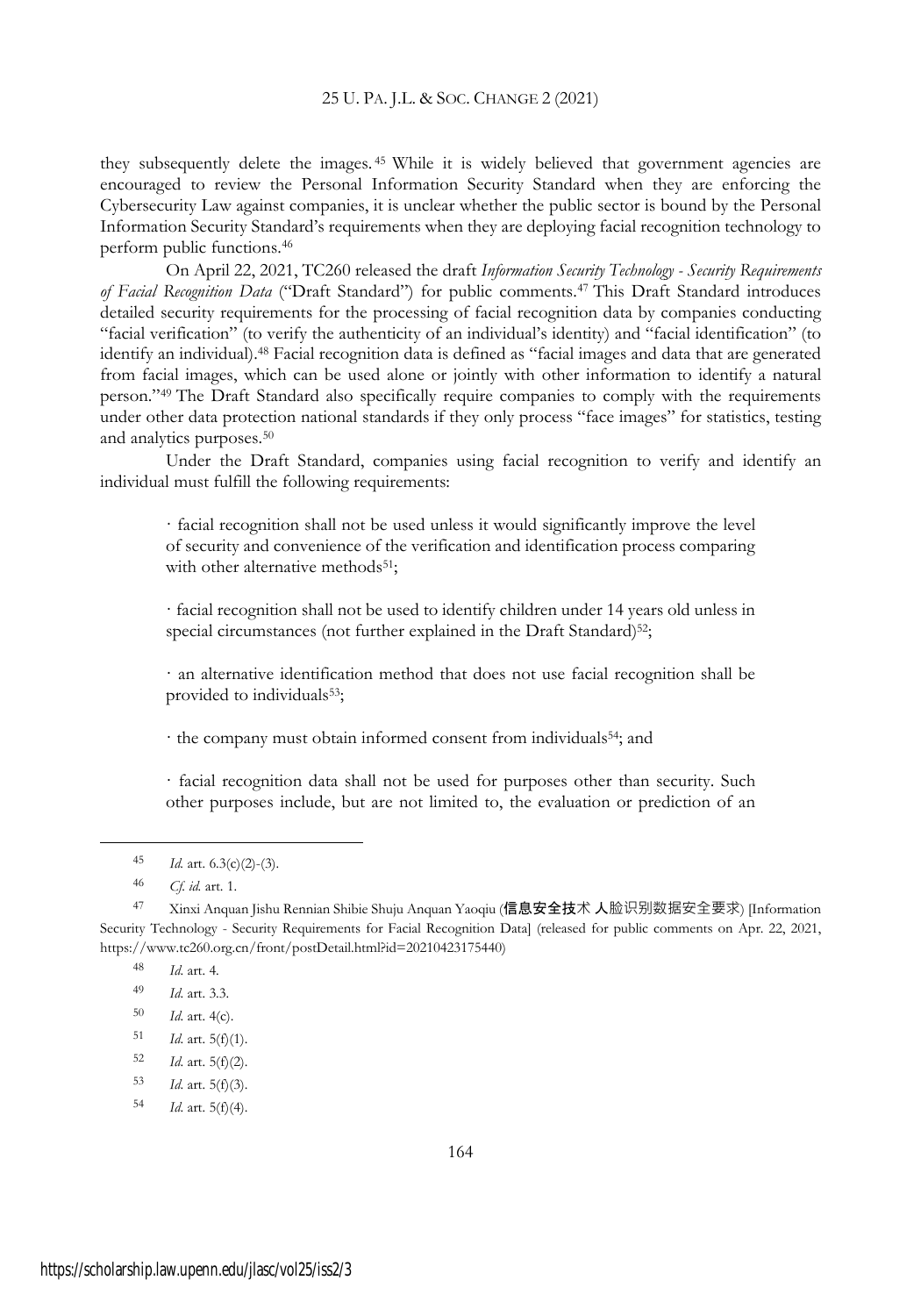they subsequently delete the images. <sup>45</sup> While it is widely believed that government agencies are encouraged to review the Personal Information Security Standard when they are enforcing the Cybersecurity Law against companies, it is unclear whether the public sector is bound by the Personal Information Security Standard's requirements when they are deploying facial recognition technology to perform public functions.<sup>46</sup>

On April 22, 2021, TC260 released the draft *Information Security Technology - Security Requirements of Facial Recognition Data* ("Draft Standard") for public comments.<sup>47</sup> This Draft Standard introduces detailed security requirements for the processing of facial recognition data by companies conducting "facial verification" (to verify the authenticity of an individual's identity) and "facial identification" (to identify an individual).<sup>48</sup> Facial recognition data is defined as "facial images and data that are generated from facial images, which can be used alone or jointly with other information to identify a natural person."<sup>49</sup> The Draft Standard also specifically require companies to comply with the requirements under other data protection national standards if they only process "face images" for statistics, testing and analytics purposes.<sup>50</sup>

Under the Draft Standard, companies using facial recognition to verify and identify an individual must fulfill the following requirements:

· facial recognition shall not be used unless it would significantly improve the level of security and convenience of the verification and identification process comparing with other alternative methods<sup>51</sup>;

· facial recognition shall not be used to identify children under 14 years old unless in special circumstances (not further explained in the Draft Standard)<sup>52</sup>;

· an alternative identification method that does not use facial recognition shall be provided to individuals<sup>53</sup>;

· the company must obtain informed consent from individuals54; and

· facial recognition data shall not be used for purposes other than security. Such other purposes include, but are not limited to, the evaluation or prediction of an

<sup>48</sup> *Id*. art. 4.

<sup>45</sup> *Id.* art. 6.3(c)(2)-(3).

<sup>46</sup> *Cf. id.* art. 1.

<sup>47</sup> Xinxi Anquan Jishu Rennian Shibie Shuju Anquan Yaoqiu (信息安全技术 人脸识别数据安全要求) [Information Security Technology - Security Requirements for Facial Recognition Data] (released for public comments on Apr. 22, 2021, https://www.tc260.org.cn/front/postDetail.html?id=20210423175440)

<sup>49</sup> *Id*. art. 3.3.

<sup>50</sup> *Id*. art. 4(c).

<sup>51</sup> *Id*. art. 5(f)(1).

<sup>52</sup> *Id*. art. 5(f)(2).

<sup>53</sup> *Id*. art. 5(f)(3).

<sup>54</sup> *Id*. art. 5(f)(4).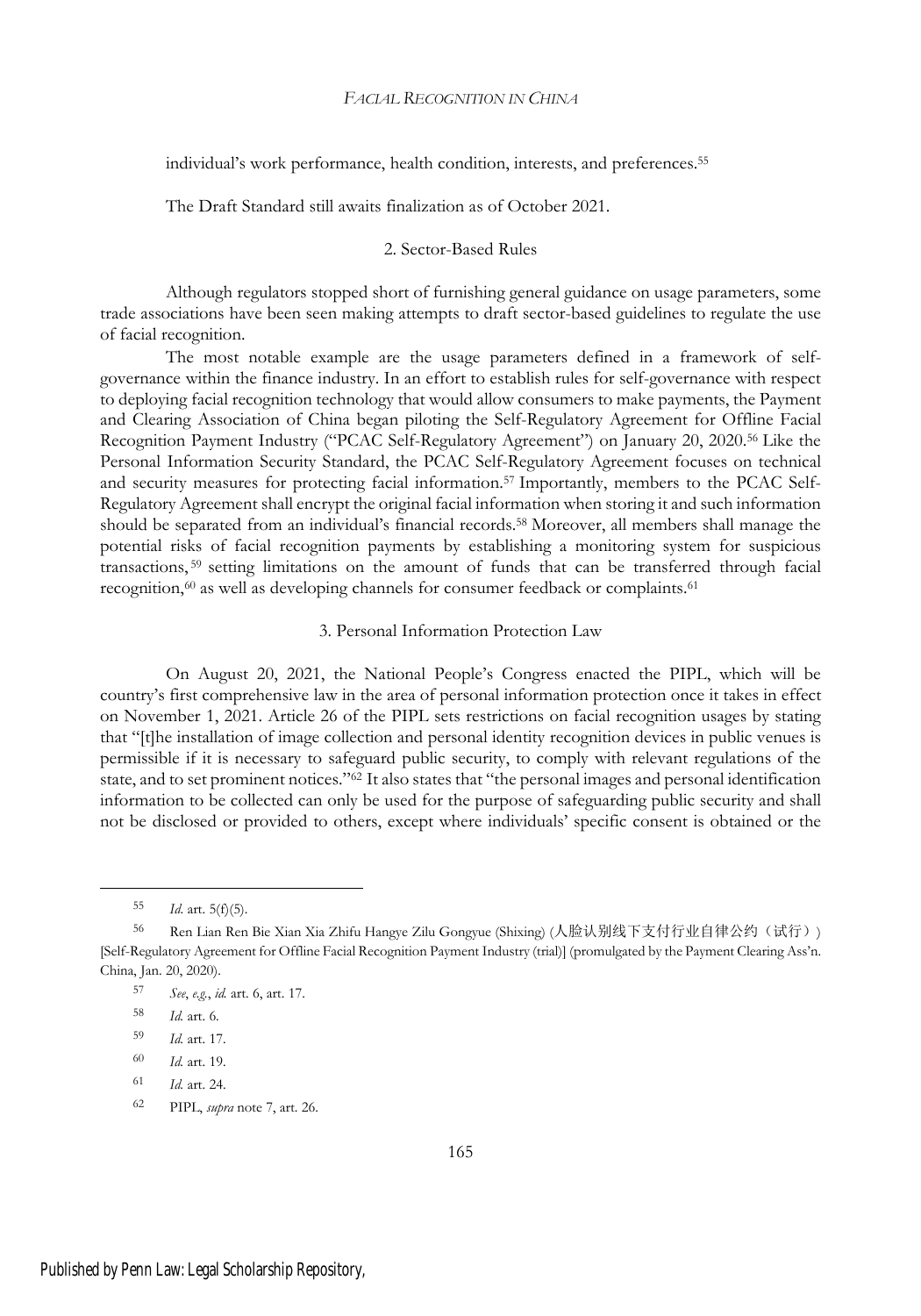individual's work performance, health condition, interests, and preferences.<sup>55</sup>

The Draft Standard still awaits finalization as of October 2021.

### 2. Sector-Based Rules

Although regulators stopped short of furnishing general guidance on usage parameters, some trade associations have been seen making attempts to draft sector-based guidelines to regulate the use of facial recognition.

The most notable example are the usage parameters defined in a framework of selfgovernance within the finance industry. In an effort to establish rules for self-governance with respect to deploying facial recognition technology that would allow consumers to make payments, the Payment and Clearing Association of China began piloting the Self-Regulatory Agreement for Offline Facial Recognition Payment Industry ("PCAC Self-Regulatory Agreement") on January 20, 2020.<sup>56</sup> Like the Personal Information Security Standard, the PCAC Self-Regulatory Agreement focuses on technical and security measures for protecting facial information.<sup>57</sup> Importantly, members to the PCAC Self-Regulatory Agreement shall encrypt the original facial information when storing it and such information should be separated from an individual's financial records.<sup>58</sup> Moreover, all members shall manage the potential risks of facial recognition payments by establishing a monitoring system for suspicious transactions, <sup>59</sup> setting limitations on the amount of funds that can be transferred through facial recognition,<sup>60</sup> as well as developing channels for consumer feedback or complaints.<sup>61</sup>

### 3. Personal Information Protection Law

On August 20, 2021, the National People's Congress enacted the PIPL, which will be country's first comprehensive law in the area of personal information protection once it takes in effect on November 1, 2021. Article 26 of the PIPL sets restrictions on facial recognition usages by stating that "[t]he installation of image collection and personal identity recognition devices in public venues is permissible if it is necessary to safeguard public security, to comply with relevant regulations of the state, and to set prominent notices."<sup>62</sup> It also states that "the personal images and personal identification information to be collected can only be used for the purpose of safeguarding public security and shall not be disclosed or provided to others, except where individuals' specific consent is obtained or the

<sup>55</sup> *Id*. art. 5(f)(5).

<sup>56</sup> Ren Lian Ren Bie Xian Xia Zhifu Hangye Zilu Gongyue (Shixing) (人脸认别线下支付行业自律公约(试行)) [Self-Regulatory Agreement for Offline Facial Recognition Payment Industry (trial)] (promulgated by the Payment Clearing Ass'n. China, Jan. 20, 2020).

<sup>57</sup> *See*, *e.g.*, *id.* art. 6, art. 17.

<sup>58</sup> *Id.* art. 6.

<sup>59</sup> *Id.* art. 17.

<sup>60</sup> *Id.* art. 19.

<sup>61</sup> *Id.* art. 24.

<sup>62</sup> PIPL, *supra* note 7, art. 26.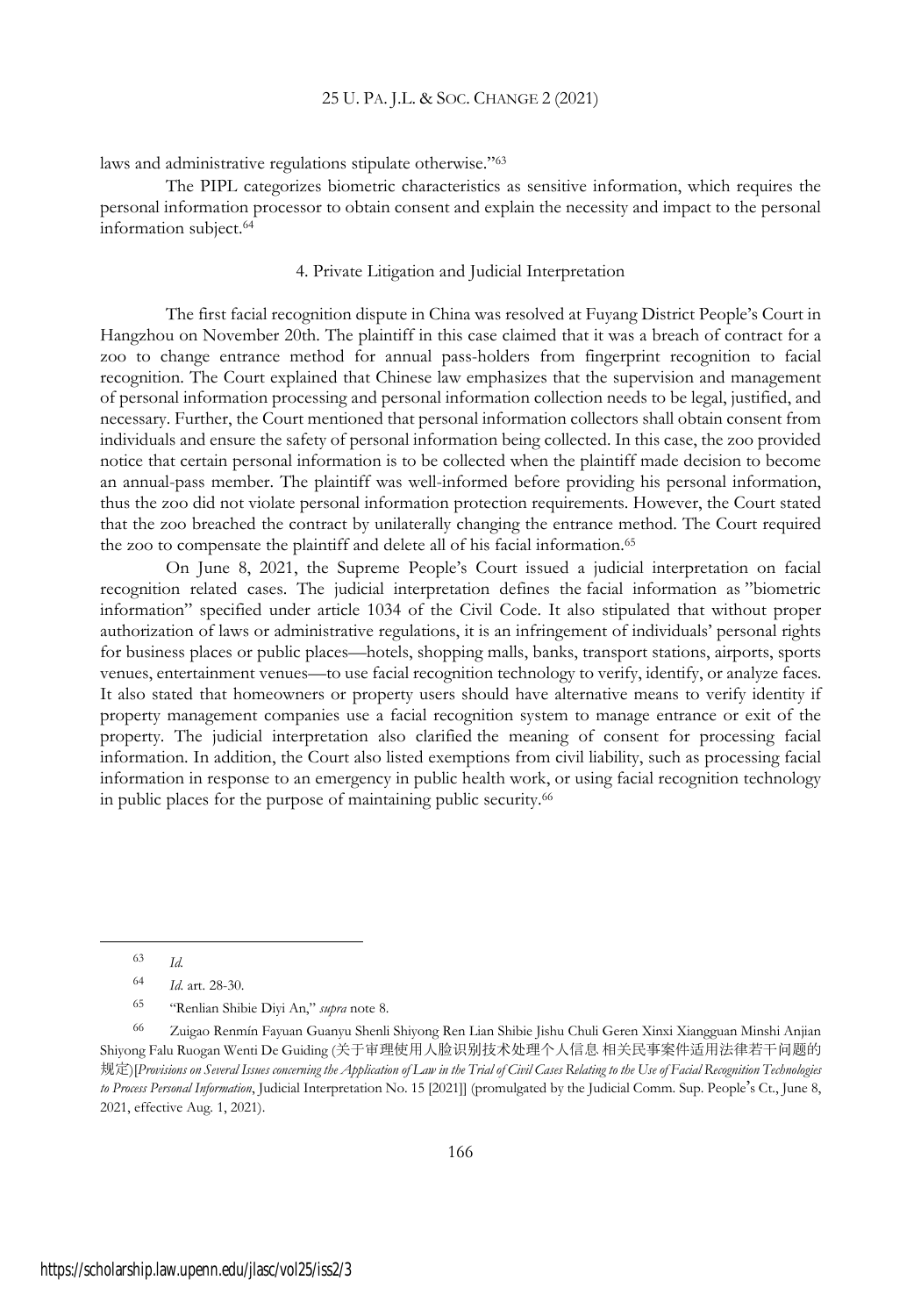laws and administrative regulations stipulate otherwise."<sup>63</sup>

The PIPL categorizes biometric characteristics as sensitive information, which requires the personal information processor to obtain consent and explain the necessity and impact to the personal information subject.<sup>64</sup>

### 4. Private Litigation and Judicial Interpretation

The first facial recognition dispute in China was resolved at Fuyang District People's Court in Hangzhou on November 20th. The plaintiff in this case claimed that it was a breach of contract for a zoo to change entrance method for annual pass-holders from fingerprint recognition to facial recognition. The Court explained that Chinese law emphasizes that the supervision and management of personal information processing and personal information collection needs to be legal, justified, and necessary. Further, the Court mentioned that personal information collectors shall obtain consent from individuals and ensure the safety of personal information being collected. In this case, the zoo provided notice that certain personal information is to be collected when the plaintiff made decision to become an annual-pass member. The plaintiff was well-informed before providing his personal information, thus the zoo did not violate personal information protection requirements. However, the Court stated that the zoo breached the contract by unilaterally changing the entrance method. The Court required the zoo to compensate the plaintiff and delete all of his facial information.<sup>65</sup>

On June 8, 2021, the Supreme People's Court issued a judicial interpretation on facial recognition related cases. The judicial interpretation defines the facial information as "biometric information" specified under article 1034 of the Civil Code. It also stipulated that without proper authorization of laws or administrative regulations, it is an infringement of individuals' personal rights for business places or public places—hotels, shopping malls, banks, transport stations, airports, sports venues, entertainment venues—to use facial recognition technology to verify, identify, or analyze faces. It also stated that homeowners or property users should have alternative means to verify identity if property management companies use a facial recognition system to manage entrance or exit of the property. The judicial interpretation also clarified the meaning of consent for processing facial information. In addition, the Court also listed exemptions from civil liability, such as processing facial information in response to an emergency in public health work, or using facial recognition technology in public places for the purpose of maintaining public security.<sup>66</sup>

<sup>63</sup> *Id.*

<sup>64</sup> *Id*. art. 28-30.

<sup>65</sup> "Renlian Shibie Diyi An," *supra* note 8.

<sup>66</sup> Zuigao Renmín Fayuan Guanyu Shenli Shiyong Ren Lian Shibie Jishu Chuli Geren Xinxi Xiangguan Minshi Anjian Shiyong Falu Ruogan Wenti De Guiding (关于审理使用人脸识别技术处理个人信息 相关民事案件适用法律若干问题的 规定)[Provisions on Several Issues concerning the Application of Law in the Trial of Civil Cases Relating to the Use of Facial Recognition Technologies *to Process Personal Information*, Judicial Interpretation No. 15 [2021]] (promulgated by the Judicial Comm. Sup. People's Ct., June 8, 2021, effective Aug. 1, 2021).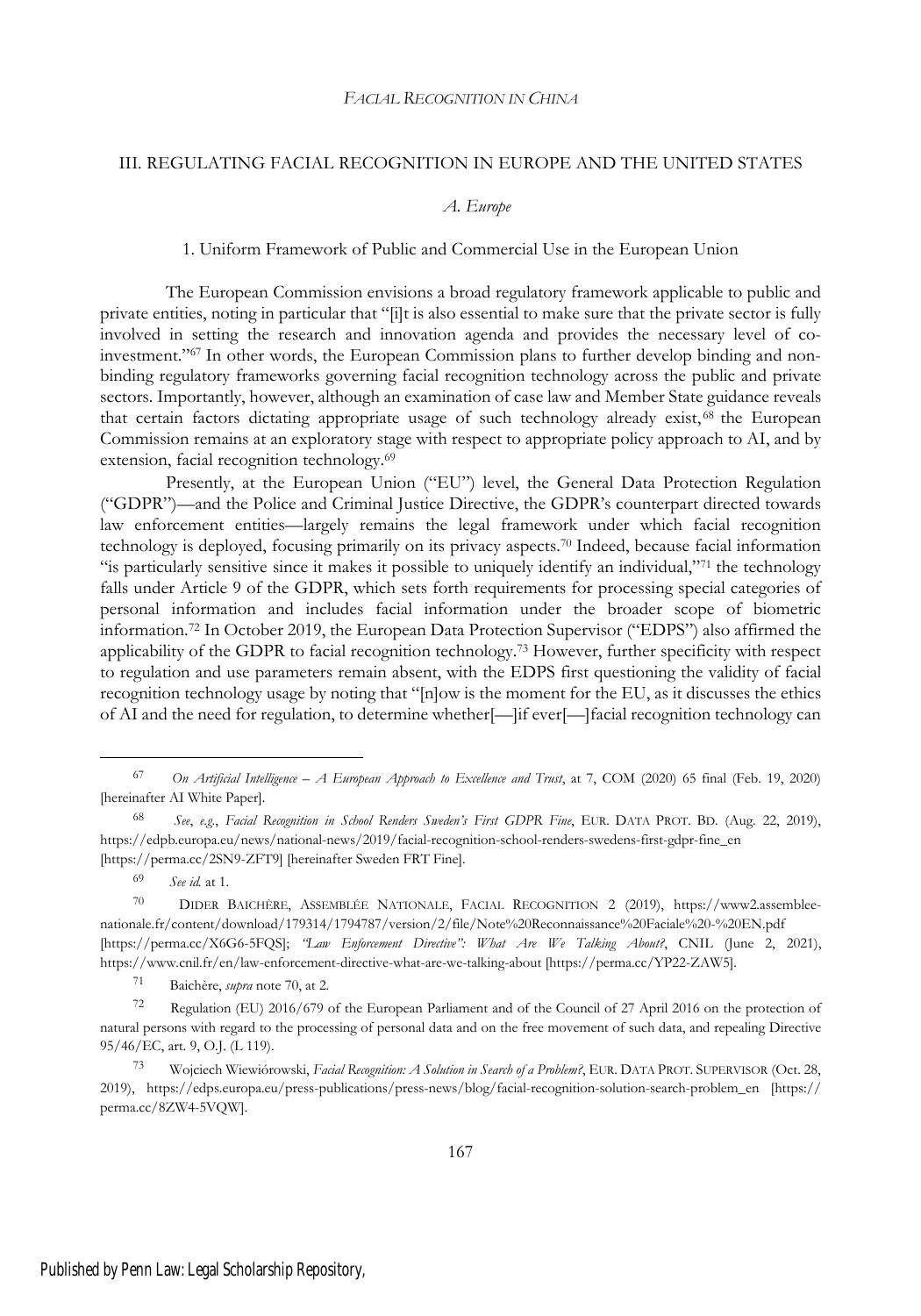### III. REGULATING FACIAL RECOGNITION IN EUROPE AND THE UNITED STATES

### *A. Europe*

### 1. Uniform Framework of Public and Commercial Use in the European Union

The European Commission envisions a broad regulatory framework applicable to public and private entities, noting in particular that "[i]t is also essential to make sure that the private sector is fully involved in setting the research and innovation agenda and provides the necessary level of coinvestment."<sup>67</sup> In other words, the European Commission plans to further develop binding and nonbinding regulatory frameworks governing facial recognition technology across the public and private sectors. Importantly, however, although an examination of case law and Member State guidance reveals that certain factors dictating appropriate usage of such technology already exist, <sup>68</sup> the European Commission remains at an exploratory stage with respect to appropriate policy approach to AI, and by extension, facial recognition technology.<sup>69</sup>

Presently, at the European Union ("EU") level, the General Data Protection Regulation ("GDPR")—and the Police and Criminal Justice Directive, the GDPR's counterpart directed towards law enforcement entities—largely remains the legal framework under which facial recognition technology is deployed, focusing primarily on its privacy aspects.<sup>70</sup> Indeed, because facial information "is particularly sensitive since it makes it possible to uniquely identify an individual,"<sup>71</sup> the technology falls under Article 9 of the GDPR, which sets forth requirements for processing special categories of personal information and includes facial information under the broader scope of biometric information.<sup>72</sup> In October 2019, the European Data Protection Supervisor ("EDPS") also affirmed the applicability of the GDPR to facial recognition technology.<sup>73</sup> However, further specificity with respect to regulation and use parameters remain absent, with the EDPS first questioning the validity of facial recognition technology usage by noting that "[n]ow is the moment for the EU, as it discusses the ethics of AI and the need for regulation, to determine whether[—]if ever[—]facial recognition technology can

<sup>69</sup> *See id.* at 1.

<sup>71</sup> Baichère, *supra* note 70, at 2.

<sup>67</sup> *On Artificial Intelligence – A European Approach to Excellence and Trust*, at 7, COM (2020) 65 final (Feb. 19, 2020) [hereinafter AI White Paper].

<sup>68</sup> *See*, *e.g.*, *Facial Recognition in School Renders Sweden's First GDPR Fine*, EUR. DATA PROT. BD. (Aug. 22, 2019), https://edpb.europa.eu/news/national-news/2019/facial-recognition-school-renders-swedens-first-gdpr-fine\_en [https://perma.cc/2SN9-ZFT9] [hereinafter Sweden FRT Fine].

<sup>70</sup> DIDER BAICHÈRE, ASSEMBLÉE NATIONALE, FACIAL RECOGNITION 2 (2019), https://www2.assembleenationale.fr/content/download/179314/1794787/version/2/file/Note%20Reconnaissance%20Faciale%20-%20EN.pdf [https://perma.cc/X6G6-5FQS]; *"Law Enforcement Directive": What Are We Talking About?*, CNIL (June 2, 2021), https://www.cnil.fr/en/law-enforcement-directive-what-are-we-talking-about [https://perma.cc/YP22-ZAW5].

<sup>72</sup> Regulation (EU) 2016/679 of the European Parliament and of the Council of 27 April 2016 on the protection of natural persons with regard to the processing of personal data and on the free movement of such data, and repealing Directive 95/46/EC, art. 9, O.J. (L 119).

<sup>73</sup> Wojciech Wiewiórowski, *Facial Recognition: A Solution in Search of a Problem?*, EUR. DATA PROT. SUPERVISOR (Oct. 28, 2019), https://edps.europa.eu/press-publications/press-news/blog/facial-recognition-solution-search-problem\_en [https:// perma.cc/8ZW4-5VQW].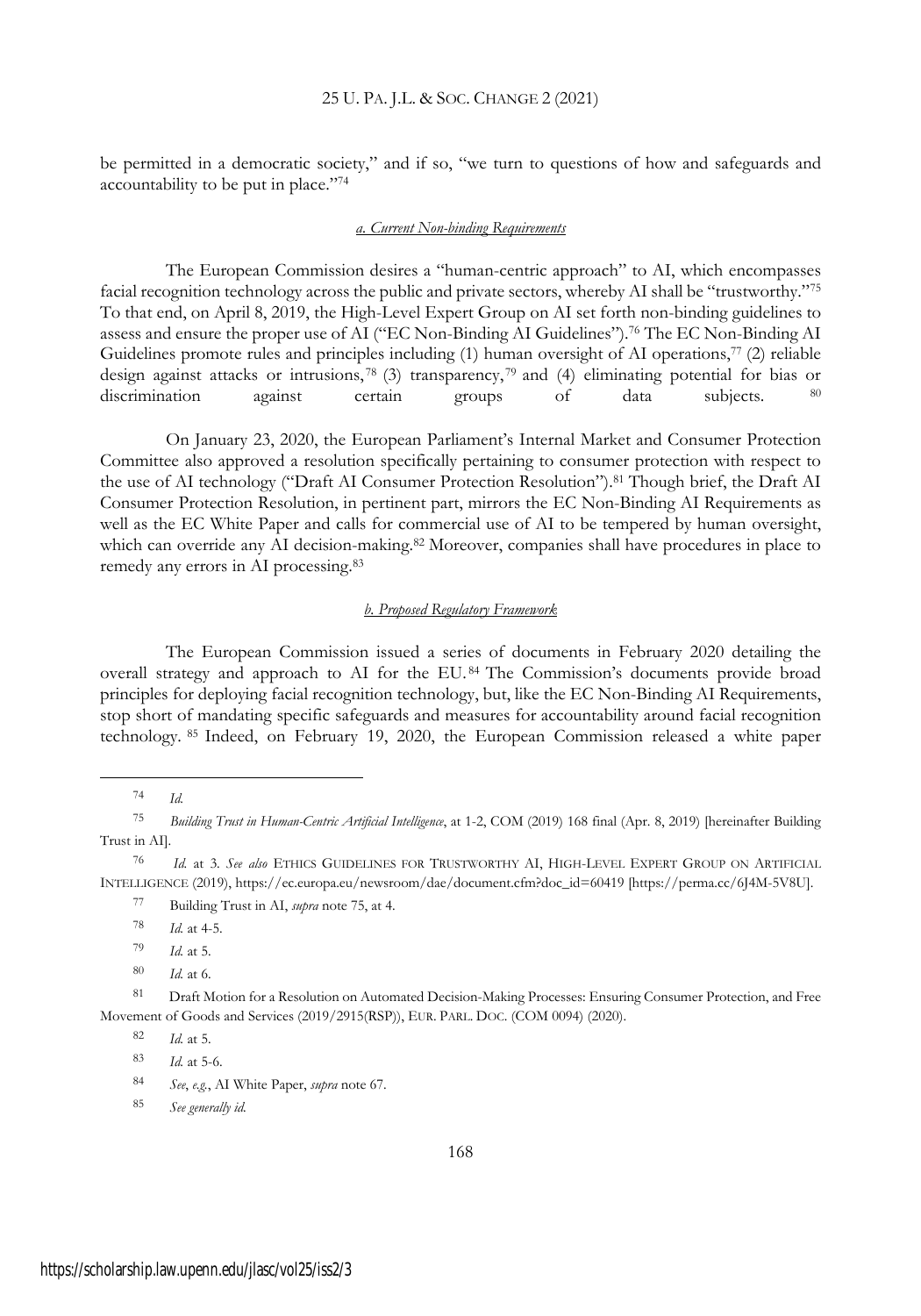be permitted in a democratic society," and if so, "we turn to questions of how and safeguards and accountability to be put in place."<sup>74</sup>

#### *a. Current Non-binding Requirements*

The European Commission desires a "human-centric approach" to AI, which encompasses facial recognition technology across the public and private sectors, whereby AI shall be "trustworthy."<sup>75</sup> To that end, on April 8, 2019, the High-Level Expert Group on AI set forth non-binding guidelines to assess and ensure the proper use of AI ("EC Non-Binding AI Guidelines").<sup>76</sup> The EC Non-Binding AI Guidelines promote rules and principles including  $(1)$  human oversight of AI operations,<sup>77</sup>  $(2)$  reliable design against attacks or intrusions,  $^{78}$  (3) transparency,  $^{79}$  and (4) eliminating potential for bias or discrimination against certain groups of data subjects. <sup>80</sup>

On January 23, 2020, the European Parliament's Internal Market and Consumer Protection Committee also approved a resolution specifically pertaining to consumer protection with respect to the use of AI technology ("Draft AI Consumer Protection Resolution").<sup>81</sup> Though brief, the Draft AI Consumer Protection Resolution, in pertinent part, mirrors the EC Non-Binding AI Requirements as well as the EC White Paper and calls for commercial use of AI to be tempered by human oversight, which can override any AI decision-making.<sup>82</sup> Moreover, companies shall have procedures in place to remedy any errors in AI processing.<sup>83</sup>

#### *b. Proposed Regulatory Framework*

The European Commission issued a series of documents in February 2020 detailing the overall strategy and approach to AI for the EU. <sup>84</sup> The Commission's documents provide broad principles for deploying facial recognition technology, but, like the EC Non-Binding AI Requirements, stop short of mandating specific safeguards and measures for accountability around facial recognition technology. <sup>85</sup> Indeed, on February 19, 2020, the European Commission released a white paper

<sup>74</sup> *Id.*

<sup>75</sup> *Building Trust in Human-Centric Artificial Intelligence*, at 1-2, COM (2019) 168 final (Apr. 8, 2019) [hereinafter Building Trust in AI].

<sup>76</sup> *Id.* at 3. *See also* ETHICS GUIDELINES FOR TRUSTWORTHY AI, HIGH-LEVEL EXPERT GROUP ON ARTIFICIAL INTELLIGENCE (2019), https://ec.europa.eu/newsroom/dae/document.cfm?doc\_id=60419 [https://perma.cc/6J4M-5V8U].

<sup>77</sup> Building Trust in AI, *supra* note 75, at 4.

<sup>78</sup> *Id.* at 4-5.

<sup>79</sup> *Id.* at 5.

<sup>80</sup> *Id.* at 6.

<sup>81</sup> Draft Motion for a Resolution on Automated Decision-Making Processes: Ensuring Consumer Protection, and Free Movement of Goods and Services (2019/2915(RSP)), EUR. PARL. DOC. (COM 0094) (2020).

<sup>82</sup> *Id.* at 5.

<sup>83</sup> *Id.* at 5-6.

<sup>84</sup> *See*, *e.g.*, AI White Paper, *supra* note 67.

<sup>85</sup> *See generally id.*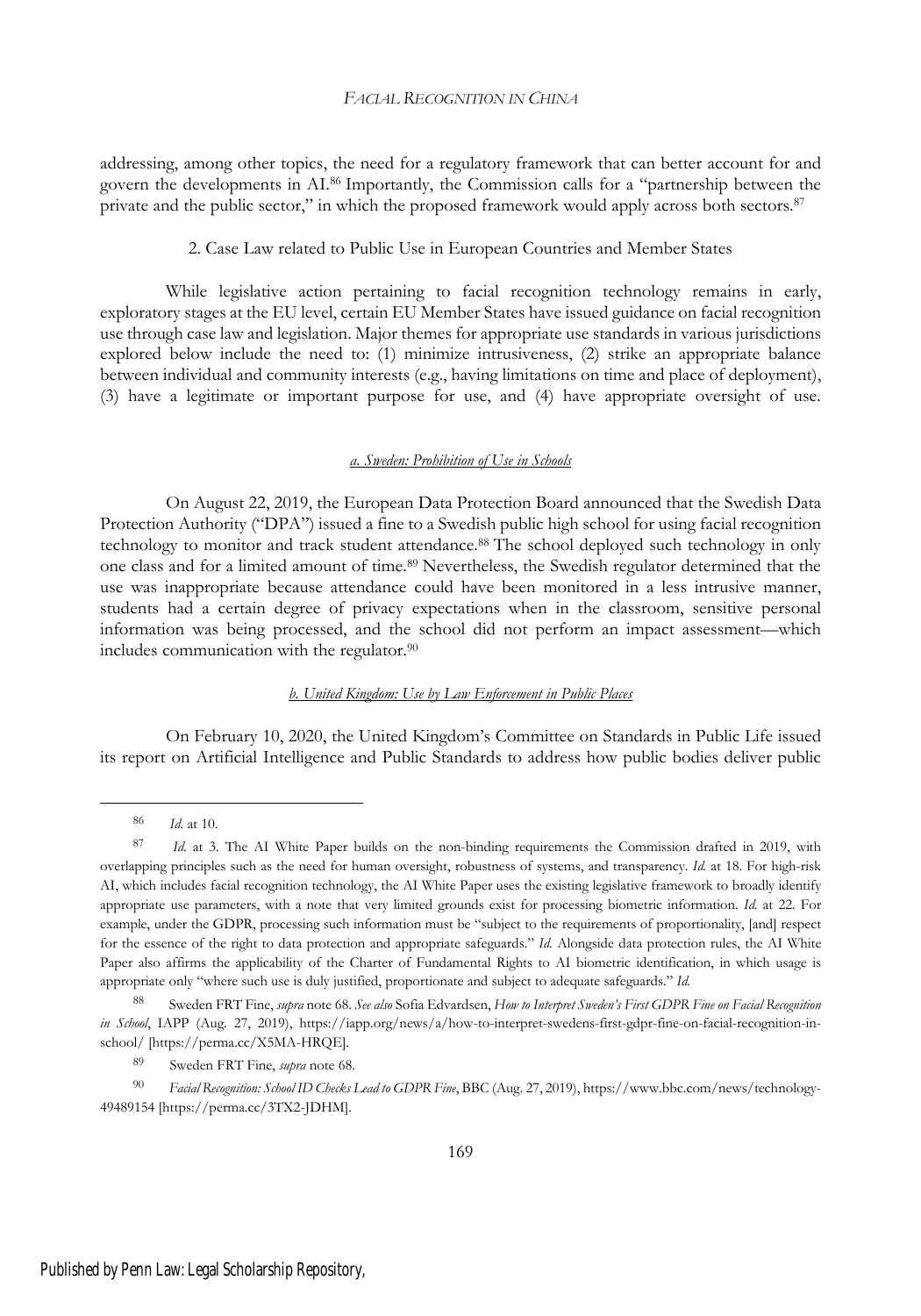addressing, among other topics, the need for a regulatory framework that can better account for and govern the developments in AI.<sup>86</sup> Importantly, the Commission calls for a "partnership between the private and the public sector," in which the proposed framework would apply across both sectors.<sup>87</sup>

#### 2. Case Law related to Public Use in European Countries and Member States

While legislative action pertaining to facial recognition technology remains in early, exploratory stages at the EU level, certain EU Member States have issued guidance on facial recognition use through case law and legislation. Major themes for appropriate use standards in various jurisdictions explored below include the need to: (1) minimize intrusiveness, (2) strike an appropriate balance between individual and community interests (e.g., having limitations on time and place of deployment), (3) have a legitimate or important purpose for use, and (4) have appropriate oversight of use.

#### *a. Sweden: Prohibition of Use in Schools*

On August 22, 2019, the European Data Protection Board announced that the Swedish Data Protection Authority ("DPA") issued a fine to a Swedish public high school for using facial recognition technology to monitor and track student attendance.<sup>88</sup> The school deployed such technology in only one class and for a limited amount of time.<sup>89</sup> Nevertheless, the Swedish regulator determined that the use was inappropriate because attendance could have been monitored in a less intrusive manner, students had a certain degree of privacy expectations when in the classroom, sensitive personal information was being processed, and the school did not perform an impact assessment—which includes communication with the regulator.<sup>90</sup>

### *b. United Kingdom: Use by Law Enforcement in Public Places*

On February 10, 2020, the United Kingdom's Committee on Standards in Public Life issued its report on Artificial Intelligence and Public Standards to address how public bodies deliver public

<sup>86</sup> *Id.* at 10.

<sup>87</sup> *Id.* at 3. The AI White Paper builds on the non-binding requirements the Commission drafted in 2019, with overlapping principles such as the need for human oversight, robustness of systems, and transparency. *Id.* at 18. For high-risk AI, which includes facial recognition technology, the AI White Paper uses the existing legislative framework to broadly identify appropriate use parameters, with a note that very limited grounds exist for processing biometric information. *Id.* at 22. For example, under the GDPR, processing such information must be "subject to the requirements of proportionality, [and] respect for the essence of the right to data protection and appropriate safeguards." *Id.* Alongside data protection rules, the AI White Paper also affirms the applicability of the Charter of Fundamental Rights to AI biometric identification, in which usage is appropriate only "where such use is duly justified, proportionate and subject to adequate safeguards." *Id.*

<sup>88</sup> Sweden FRT Fine, *supra* note 68. *See also* Sofia Edvardsen, *How to Interpret Sweden's First GDPR Fine on Facial Recognition in School*, IAPP (Aug. 27, 2019), https://iapp.org/news/a/how-to-interpret-swedens-first-gdpr-fine-on-facial-recognition-inschool/ [https://perma.cc/X5MA-HRQE].

<sup>89</sup> Sweden FRT Fine, *supra* note 68.

<sup>90</sup> *Facial Recognition: School ID Checks Lead to GDPR Fine*, BBC (Aug. 27, 2019), https://www.bbc.com/news/technology-49489154 [https://perma.cc/3TX2-JDHM].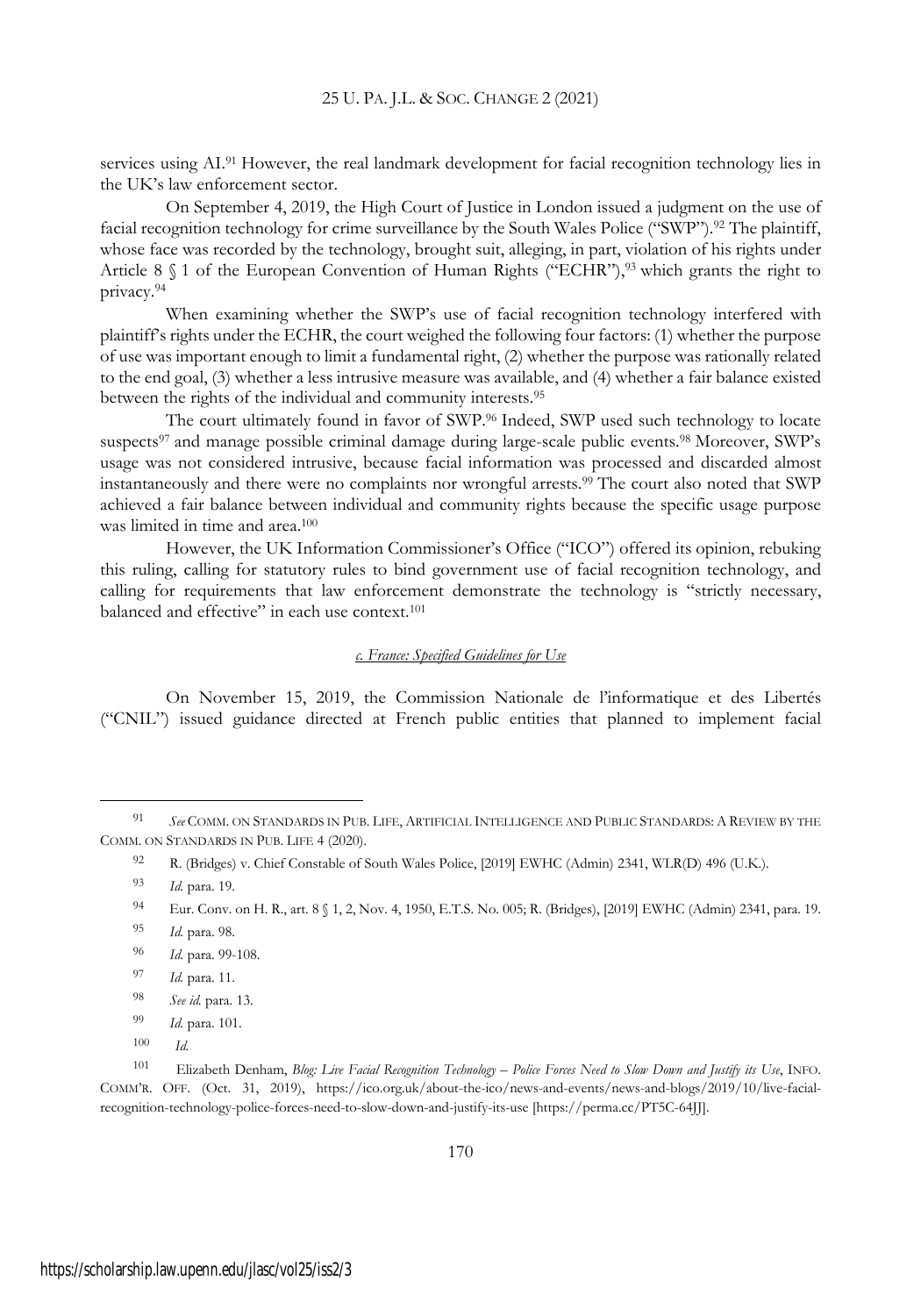services using AI.<sup>91</sup> However, the real landmark development for facial recognition technology lies in the UK's law enforcement sector.

On September 4, 2019, the High Court of Justice in London issued a judgment on the use of facial recognition technology for crime surveillance by the South Wales Police ("SWP").<sup>92</sup> The plaintiff, whose face was recorded by the technology, brought suit, alleging, in part, violation of his rights under Article 8  $\$  1 of the European Convention of Human Rights ("ECHR"),<sup>93</sup> which grants the right to privacy.<sup>94</sup>

When examining whether the SWP's use of facial recognition technology interfered with plaintiff's rights under the ECHR, the court weighed the following four factors: (1) whether the purpose of use was important enough to limit a fundamental right, (2) whether the purpose was rationally related to the end goal, (3) whether a less intrusive measure was available, and (4) whether a fair balance existed between the rights of the individual and community interests.<sup>95</sup>

The court ultimately found in favor of SWP.<sup>96</sup> Indeed, SWP used such technology to locate suspects<sup>97</sup> and manage possible criminal damage during large-scale public events.<sup>98</sup> Moreover, SWP's usage was not considered intrusive, because facial information was processed and discarded almost instantaneously and there were no complaints nor wrongful arrests.<sup>99</sup> The court also noted that SWP achieved a fair balance between individual and community rights because the specific usage purpose was limited in time and area.<sup>100</sup>

However, the UK Information Commissioner's Office ("ICO") offered its opinion, rebuking this ruling, calling for statutory rules to bind government use of facial recognition technology, and calling for requirements that law enforcement demonstrate the technology is "strictly necessary, balanced and effective" in each use context.<sup>101</sup>

### *c. France: Specified Guidelines for Use*

On November 15, 2019, the Commission Nationale de l'informatique et des Libertés ("CNIL") issued guidance directed at French public entities that planned to implement facial

- <sup>94</sup> Eur. Conv. on H. R., art. 8 § 1, 2, Nov. 4, 1950, E.T.S. No. 005; R. (Bridges), [2019] EWHC (Admin) 2341, para. 19.
- <sup>95</sup> *Id.* para. 98.
- <sup>96</sup> *Id.* para. 99-108.
- <sup>97</sup> *Id.* para. 11.
- <sup>98</sup> *See id.* para. 13.
- <sup>99</sup> *Id.* para. 101.
- <sup>100</sup> *Id.*

<sup>91</sup> *See* COMM. ON STANDARDS IN PUB. LIFE, ARTIFICIAL INTELLIGENCE AND PUBLIC STANDARDS: A REVIEW BY THE COMM. ON STANDARDS IN PUB. LIFE 4 (2020).

<sup>92</sup> R. (Bridges) v. Chief Constable of South Wales Police, [2019] EWHC (Admin) 2341, WLR(D) 496 (U.K.).

<sup>93</sup> *Id.* para. 19.

<sup>101</sup> Elizabeth Denham, Blog: Live Facial Recognition Technology - Police Forces Need to Slow Down and Justify its Use, INFO. COMM'R. OFF. (Oct. 31, 2019), https://ico.org.uk/about-the-ico/news-and-events/news-and-blogs/2019/10/live-facialrecognition-technology-police-forces-need-to-slow-down-and-justify-its-use [https://perma.cc/PT5C-64JJ].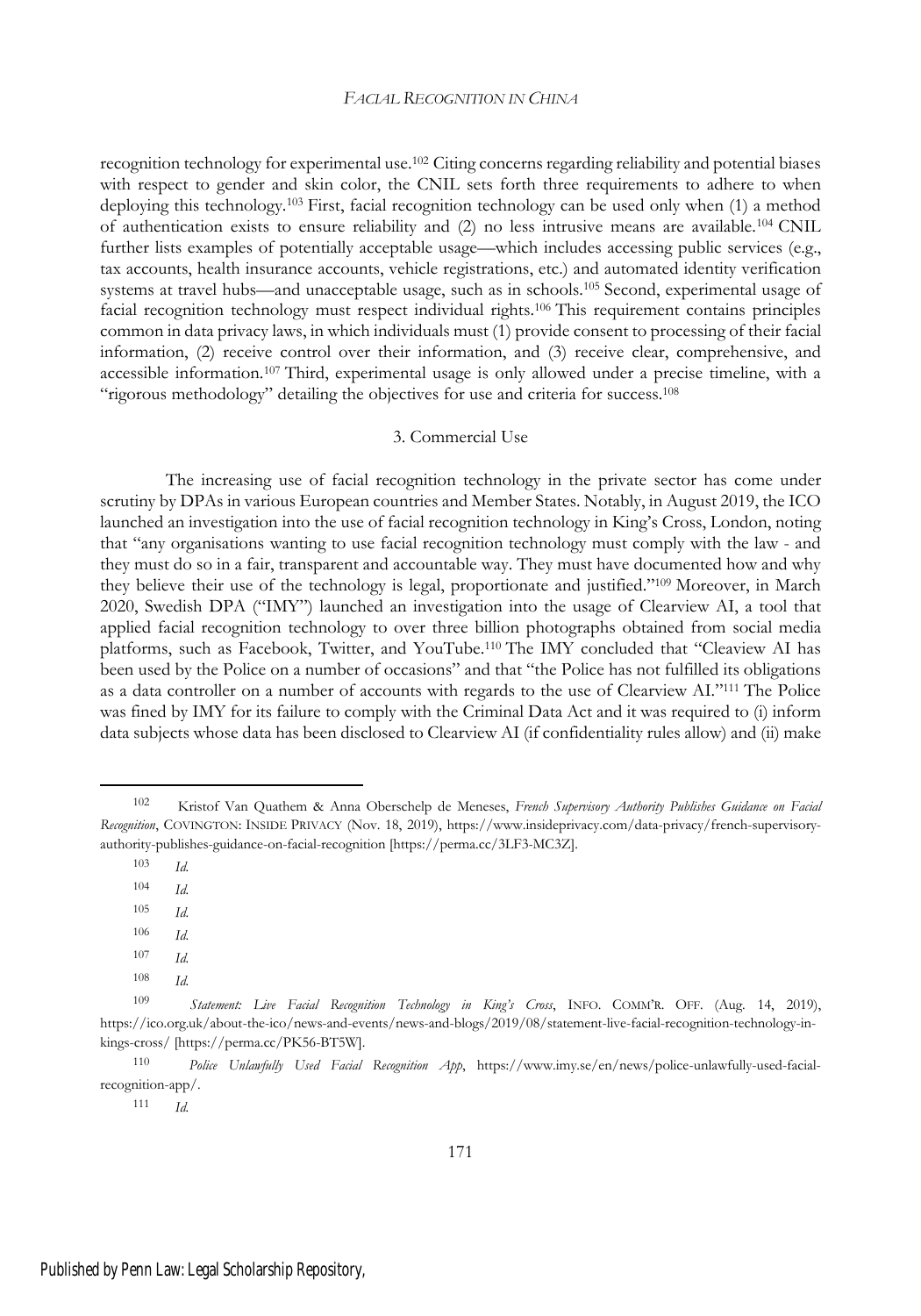recognition technology for experimental use.<sup>102</sup> Citing concerns regarding reliability and potential biases with respect to gender and skin color, the CNIL sets forth three requirements to adhere to when deploying this technology.<sup>103</sup> First, facial recognition technology can be used only when (1) a method of authentication exists to ensure reliability and (2) no less intrusive means are available.<sup>104</sup> CNIL further lists examples of potentially acceptable usage—which includes accessing public services (e.g., tax accounts, health insurance accounts, vehicle registrations, etc.) and automated identity verification systems at travel hubs—and unacceptable usage, such as in schools.<sup>105</sup> Second, experimental usage of facial recognition technology must respect individual rights.<sup>106</sup> This requirement contains principles common in data privacy laws, in which individuals must (1) provide consent to processing of their facial information, (2) receive control over their information, and (3) receive clear, comprehensive, and accessible information.<sup>107</sup> Third, experimental usage is only allowed under a precise timeline, with a "rigorous methodology" detailing the objectives for use and criteria for success.<sup>108</sup>

#### 3. Commercial Use

The increasing use of facial recognition technology in the private sector has come under scrutiny by DPAs in various European countries and Member States. Notably, in August 2019, the ICO launched an investigation into the use of facial recognition technology in King's Cross, London, noting that "any organisations wanting to use facial recognition technology must comply with the law - and they must do so in a fair, transparent and accountable way. They must have documented how and why they believe their use of the technology is legal, proportionate and justified."<sup>109</sup> Moreover, in March 2020, Swedish DPA ("IMY") launched an investigation into the usage of Clearview AI, a tool that applied facial recognition technology to over three billion photographs obtained from social media platforms, such as Facebook, Twitter, and YouTube.<sup>110</sup> The IMY concluded that "Cleaview AI has been used by the Police on a number of occasions" and that "the Police has not fulfilled its obligations as a data controller on a number of accounts with regards to the use of Clearview AI."<sup>111</sup> The Police was fined by IMY for its failure to comply with the Criminal Data Act and it was required to (i) inform data subjects whose data has been disclosed to Clearview AI (if confidentiality rules allow) and (ii) make

- <sup>105</sup> *Id.*
- <sup>106</sup> *Id.*
- <sup>107</sup> *Id.*
- <sup>108</sup> *Id.*

<sup>111</sup> *Id.*

<sup>102</sup> Kristof Van Quathem & Anna Oberschelp de Meneses, *French Supervisory Authority Publishes Guidance on Facial Recognition*, COVINGTON: INSIDE PRIVACY (Nov. 18, 2019), https://www.insideprivacy.com/data-privacy/french-supervisoryauthority-publishes-guidance-on-facial-recognition [https://perma.cc/3LF3-MC3Z].

<sup>103</sup> *Id.*

<sup>104</sup> *Id.*

<sup>109</sup> *Statement: Live Facial Recognition Technology in King's Cross*, INFO. COMM'R. OFF. (Aug. 14, 2019), https://ico.org.uk/about-the-ico/news-and-events/news-and-blogs/2019/08/statement-live-facial-recognition-technology-inkings-cross/ [https://perma.cc/PK56-BT5W].

<sup>110</sup> *Police Unlawfully Used Facial Recognition App*, https://www.imy.se/en/news/police-unlawfully-used-facialrecognition-app/.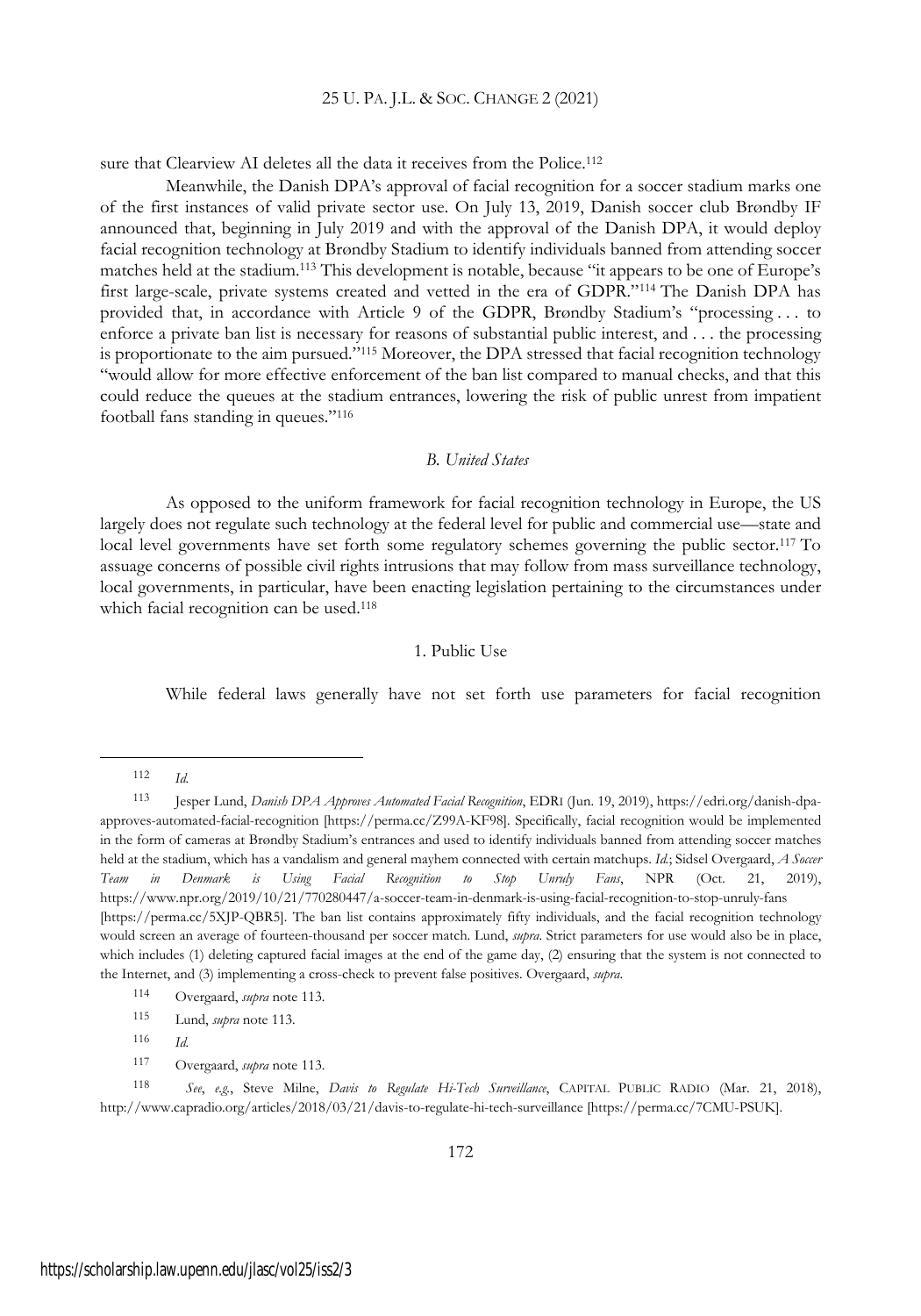sure that Clearview AI deletes all the data it receives from the Police.<sup>112</sup>

Meanwhile, the Danish DPA's approval of facial recognition for a soccer stadium marks one of the first instances of valid private sector use. On July 13, 2019, Danish soccer club Brøndby IF announced that, beginning in July 2019 and with the approval of the Danish DPA, it would deploy facial recognition technology at Brøndby Stadium to identify individuals banned from attending soccer matches held at the stadium.<sup>113</sup> This development is notable, because "it appears to be one of Europe's first large-scale, private systems created and vetted in the era of GDPR."<sup>114</sup> The Danish DPA has provided that, in accordance with Article 9 of the GDPR, Brøndby Stadium's "processing . . . to enforce a private ban list is necessary for reasons of substantial public interest, and . . . the processing is proportionate to the aim pursued."<sup>115</sup> Moreover, the DPA stressed that facial recognition technology "would allow for more effective enforcement of the ban list compared to manual checks, and that this could reduce the queues at the stadium entrances, lowering the risk of public unrest from impatient football fans standing in queues."<sup>116</sup>

### *B. United States*

As opposed to the uniform framework for facial recognition technology in Europe, the US largely does not regulate such technology at the federal level for public and commercial use—state and local level governments have set forth some regulatory schemes governing the public sector.<sup>117</sup> To assuage concerns of possible civil rights intrusions that may follow from mass surveillance technology, local governments, in particular, have been enacting legislation pertaining to the circumstances under which facial recognition can be used.<sup>118</sup>

### 1. Public Use

While federal laws generally have not set forth use parameters for facial recognition

<sup>112</sup> *Id.*

<sup>113</sup> Jesper Lund, *Danish DPA Approves Automated Facial Recognition*, EDR<sup>I</sup> (Jun. 19, 2019), https://edri.org/danish-dpaapproves-automated-facial-recognition [https://perma.cc/Z99A-KF98]. Specifically, facial recognition would be implemented in the form of cameras at Brøndby Stadium's entrances and used to identify individuals banned from attending soccer matches held at the stadium, which has a vandalism and general mayhem connected with certain matchups. *Id.*; Sidsel Overgaard, *A Soccer Team in Denmark is Using Facial Recognition to Stop Unruly Fans*, NPR (Oct. 21, 2019), https://www.npr.org/2019/10/21/770280447/a-soccer-team-in-denmark-is-using-facial-recognition-to-stop-unruly-fans [https://perma.cc/5XJP-QBR5]. The ban list contains approximately fifty individuals, and the facial recognition technology would screen an average of fourteen-thousand per soccer match. Lund, *supra*. Strict parameters for use would also be in place, which includes (1) deleting captured facial images at the end of the game day, (2) ensuring that the system is not connected to the Internet, and (3) implementing a cross-check to prevent false positives. Overgaard, *supra*.

<sup>114</sup> Overgaard, *supra* note 113.

<sup>115</sup> Lund, *supra* note 113.

<sup>116</sup> *Id.*

<sup>117</sup> Overgaard, *supra* note 113.

<sup>118</sup> *See*, *e.g.*, Steve Milne, *Davis to Regulate Hi-Tech Surveillance*, CAPITAL PUBLIC RADIO (Mar. 21, 2018), http://www.capradio.org/articles/2018/03/21/davis-to-regulate-hi-tech-surveillance [https://perma.cc/7CMU-PSUK].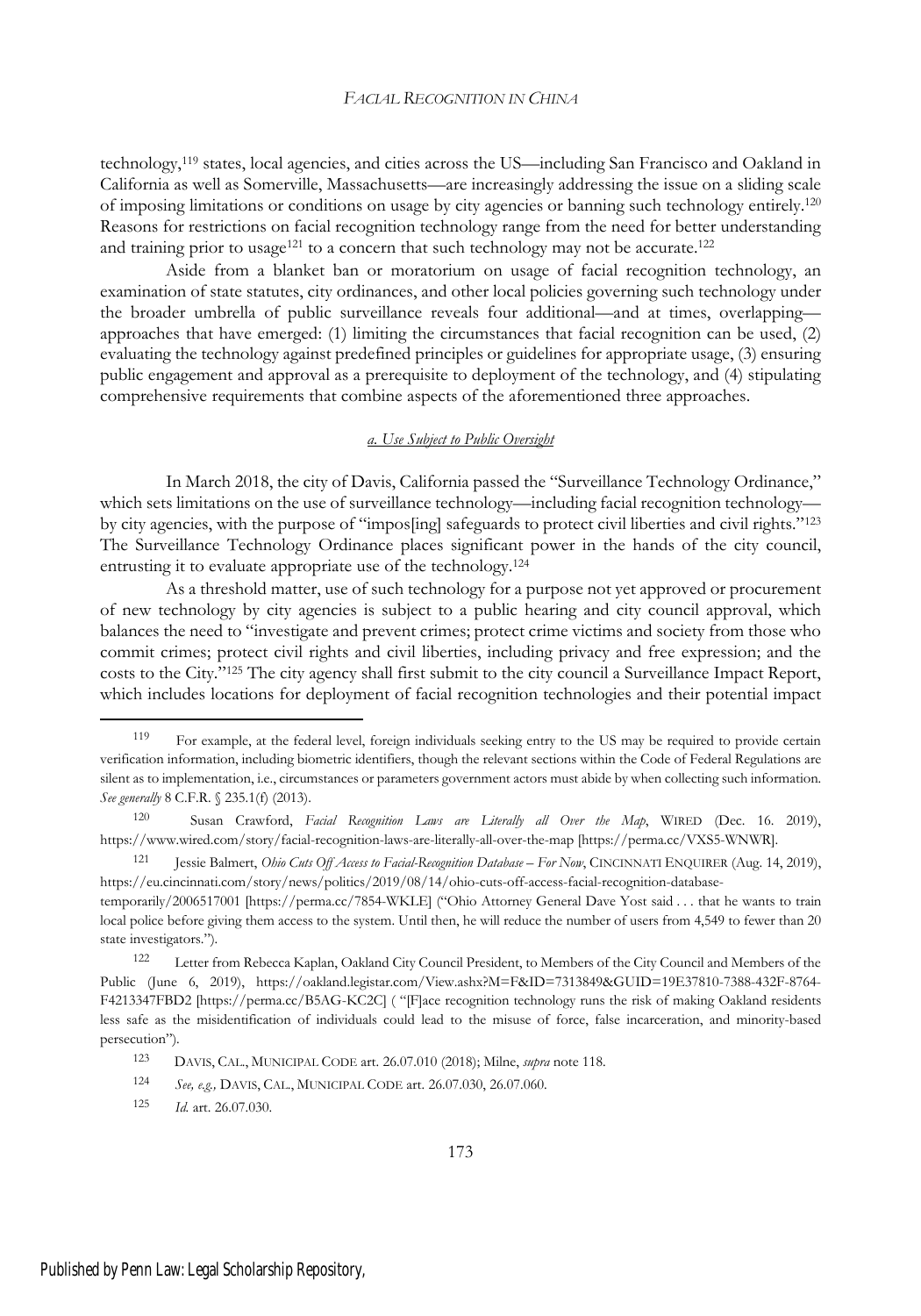technology,<sup>119</sup> states, local agencies, and cities across the US—including San Francisco and Oakland in California as well as Somerville, Massachusetts—are increasingly addressing the issue on a sliding scale of imposing limitations or conditions on usage by city agencies or banning such technology entirely.<sup>120</sup> Reasons for restrictions on facial recognition technology range from the need for better understanding and training prior to usage<sup>121</sup> to a concern that such technology may not be accurate.<sup>122</sup>

Aside from a blanket ban or moratorium on usage of facial recognition technology, an examination of state statutes, city ordinances, and other local policies governing such technology under the broader umbrella of public surveillance reveals four additional—and at times, overlapping approaches that have emerged: (1) limiting the circumstances that facial recognition can be used, (2) evaluating the technology against predefined principles or guidelines for appropriate usage, (3) ensuring public engagement and approval as a prerequisite to deployment of the technology, and (4) stipulating comprehensive requirements that combine aspects of the aforementioned three approaches.

#### *a. Use Subject to Public Oversight*

In March 2018, the city of Davis, California passed the "Surveillance Technology Ordinance," which sets limitations on the use of surveillance technology—including facial recognition technology by city agencies, with the purpose of "impos[ing] safeguards to protect civil liberties and civil rights."<sup>123</sup> The Surveillance Technology Ordinance places significant power in the hands of the city council, entrusting it to evaluate appropriate use of the technology.<sup>124</sup>

As a threshold matter, use of such technology for a purpose not yet approved or procurement of new technology by city agencies is subject to a public hearing and city council approval, which balances the need to "investigate and prevent crimes; protect crime victims and society from those who commit crimes; protect civil rights and civil liberties, including privacy and free expression; and the costs to the City."<sup>125</sup> The city agency shall first submit to the city council a Surveillance Impact Report, which includes locations for deployment of facial recognition technologies and their potential impact

<sup>119</sup> For example, at the federal level, foreign individuals seeking entry to the US may be required to provide certain verification information, including biometric identifiers, though the relevant sections within the Code of Federal Regulations are silent as to implementation, i.e., circumstances or parameters government actors must abide by when collecting such information. *See generally* 8 C.F.R. § 235.1(f) (2013).

<sup>120</sup> Susan Crawford, *Facial Recognition Laws are Literally all Over the Map*, WIRED (Dec. 16. 2019), https://www.wired.com/story/facial-recognition-laws-are-literally-all-over-the-map [https://perma.cc/VXS5-WNWR].

<sup>121</sup> Jessie Balmert, *Ohio Cuts Off Access to Facial-Recognition Database – For Now*, CINCINNATI ENQUIRER (Aug. 14, 2019), https://eu.cincinnati.com/story/news/politics/2019/08/14/ohio-cuts-off-access-facial-recognition-database-

temporarily/2006517001 [https://perma.cc/7854-WKLE] ("Ohio Attorney General Dave Yost said . . . that he wants to train local police before giving them access to the system. Until then, he will reduce the number of users from 4,549 to fewer than 20 state investigators.").

<sup>122</sup> Letter from Rebecca Kaplan, Oakland City Council President, to Members of the City Council and Members of the Public (June 6, 2019), https://oakland.legistar.com/View.ashx?M=F&ID=7313849&GUID=19E37810-7388-432F-8764- F4213347FBD2 [https://perma.cc/B5AG-KC2C] ( "[F]ace recognition technology runs the risk of making Oakland residents less safe as the misidentification of individuals could lead to the misuse of force, false incarceration, and minority-based persecution").

<sup>123</sup> DAVIS, CAL., MUNICIPAL CODE art. 26.07.010 (2018); Milne, *supra* note 118.

<sup>124</sup> *See, e.g.,* DAVIS, CAL., MUNICIPAL CODE art. 26.07.030, 26.07.060.

<sup>125</sup> *Id.* art. 26.07.030.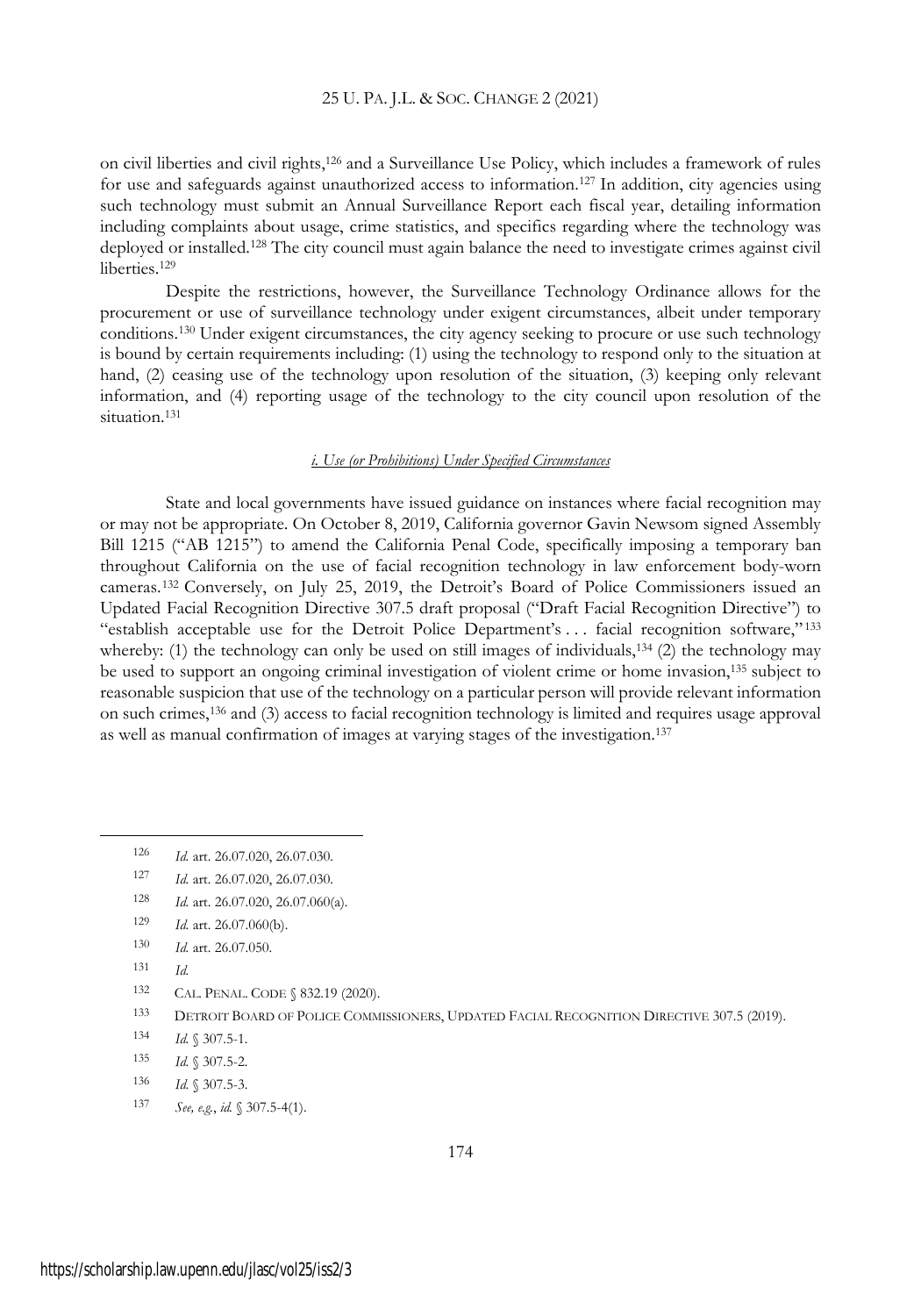on civil liberties and civil rights,<sup>126</sup> and a Surveillance Use Policy, which includes a framework of rules for use and safeguards against unauthorized access to information.<sup>127</sup> In addition, city agencies using such technology must submit an Annual Surveillance Report each fiscal year, detailing information including complaints about usage, crime statistics, and specifics regarding where the technology was deployed or installed.<sup>128</sup> The city council must again balance the need to investigate crimes against civil liberties.<sup>129</sup>

Despite the restrictions, however, the Surveillance Technology Ordinance allows for the procurement or use of surveillance technology under exigent circumstances, albeit under temporary conditions.<sup>130</sup> Under exigent circumstances, the city agency seeking to procure or use such technology is bound by certain requirements including: (1) using the technology to respond only to the situation at hand, (2) ceasing use of the technology upon resolution of the situation, (3) keeping only relevant information, and (4) reporting usage of the technology to the city council upon resolution of the situation.<sup>131</sup>

### *i. Use (or Prohibitions) Under Specified Circumstances*

State and local governments have issued guidance on instances where facial recognition may or may not be appropriate. On October 8, 2019, California governor Gavin Newsom signed Assembly Bill 1215 ("AB 1215") to amend the California Penal Code, specifically imposing a temporary ban throughout California on the use of facial recognition technology in law enforcement body-worn cameras.<sup>132</sup> Conversely, on July 25, 2019, the Detroit's Board of Police Commissioners issued an Updated Facial Recognition Directive 307.5 draft proposal ("Draft Facial Recognition Directive") to "establish acceptable use for the Detroit Police Department's . . . facial recognition software," <sup>133</sup> whereby: (1) the technology can only be used on still images of individuals, $134$  (2) the technology may be used to support an ongoing criminal investigation of violent crime or home invasion,<sup>135</sup> subject to reasonable suspicion that use of the technology on a particular person will provide relevant information on such crimes,<sup>136</sup> and (3) access to facial recognition technology is limited and requires usage approval as well as manual confirmation of images at varying stages of the investigation.<sup>137</sup>

<sup>128</sup> *Id.* art. 26.07.020, 26.07.060(a).

- <sup>130</sup> *Id.* art. 26.07.050.
- <sup>131</sup> *Id.*
- 132 CAL. PENAL. CODE § 832.19 (2020).
- 133 DETROIT BOARD OF POLICE COMMISSIONERS, UPDATED FACIAL RECOGNITION DIRECTIVE 307.5 (2019).
- <sup>134</sup> *Id.* § 307.5-1.
- <sup>135</sup> *Id.* § 307.5-2.
- <sup>136</sup> *Id.* § 307.5-3.
- <sup>137</sup> *See, e.g.*, *id.* § 307.5-4(1).

<sup>126</sup> *Id.* art. 26.07.020, 26.07.030.

<sup>127</sup> *Id.* art. 26.07.020, 26.07.030.

<sup>129</sup> *Id.* art. 26.07.060(b).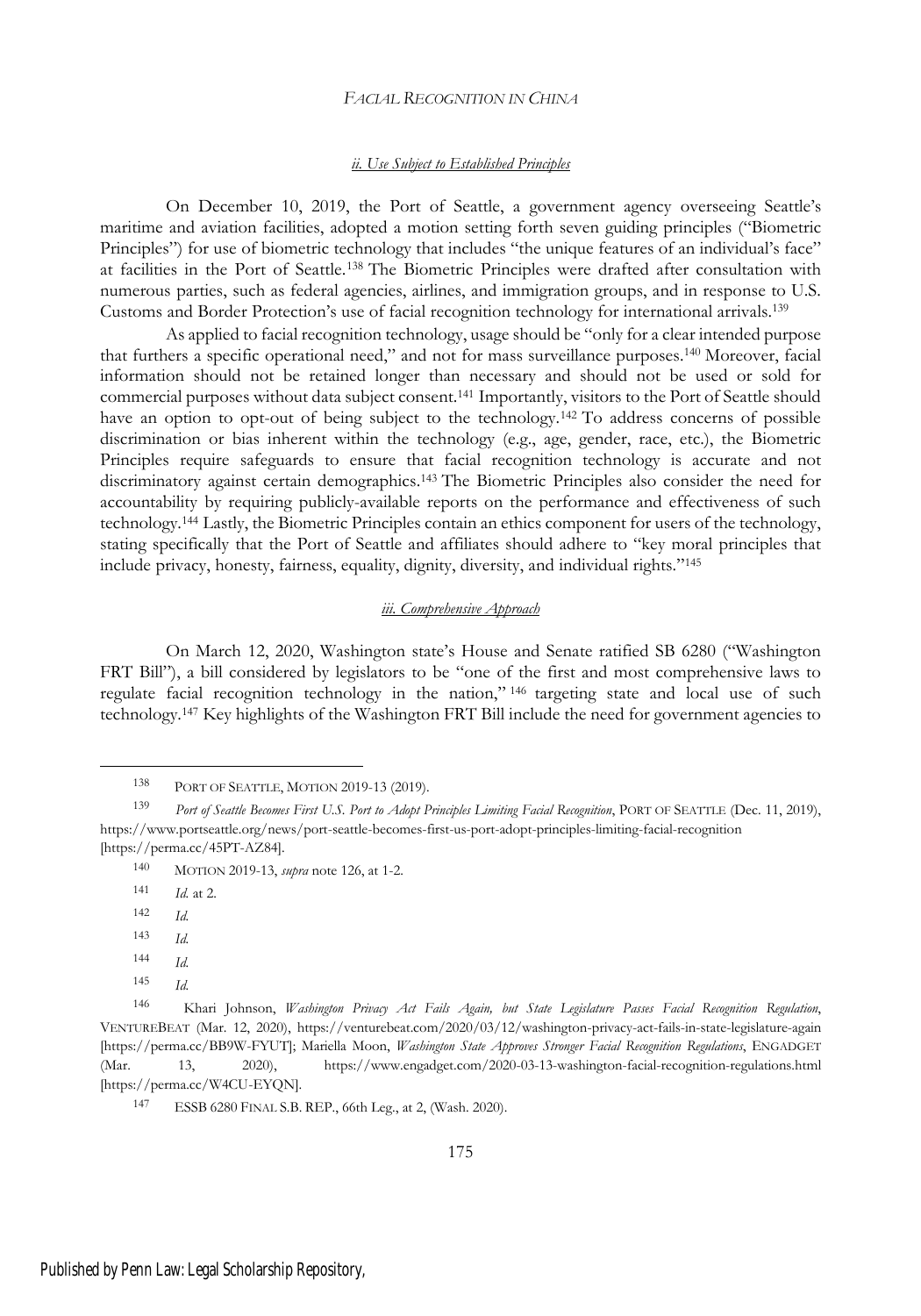#### *ii. Use Subject to Established Principles*

On December 10, 2019, the Port of Seattle, a government agency overseeing Seattle's maritime and aviation facilities, adopted a motion setting forth seven guiding principles ("Biometric Principles") for use of biometric technology that includes "the unique features of an individual's face" at facilities in the Port of Seattle.<sup>138</sup> The Biometric Principles were drafted after consultation with numerous parties, such as federal agencies, airlines, and immigration groups, and in response to U.S. Customs and Border Protection's use of facial recognition technology for international arrivals.<sup>139</sup>

As applied to facial recognition technology, usage should be "only for a clear intended purpose that furthers a specific operational need," and not for mass surveillance purposes.<sup>140</sup> Moreover, facial information should not be retained longer than necessary and should not be used or sold for commercial purposes without data subject consent.<sup>141</sup> Importantly, visitors to the Port of Seattle should have an option to opt-out of being subject to the technology.<sup>142</sup> To address concerns of possible discrimination or bias inherent within the technology (e.g., age, gender, race, etc.), the Biometric Principles require safeguards to ensure that facial recognition technology is accurate and not discriminatory against certain demographics.<sup>143</sup> The Biometric Principles also consider the need for accountability by requiring publicly-available reports on the performance and effectiveness of such technology.<sup>144</sup> Lastly, the Biometric Principles contain an ethics component for users of the technology, stating specifically that the Port of Seattle and affiliates should adhere to "key moral principles that include privacy, honesty, fairness, equality, dignity, diversity, and individual rights."<sup>145</sup>

#### *iii. Comprehensive Approach*

On March 12, 2020, Washington state's House and Senate ratified SB 6280 ("Washington FRT Bill"), a bill considered by legislators to be "one of the first and most comprehensive laws to regulate facial recognition technology in the nation," <sup>146</sup> targeting state and local use of such technology.<sup>147</sup> Key highlights of the Washington FRT Bill include the need for government agencies to

- <sup>143</sup> *Id.*
- <sup>144</sup> *Id.*
- <sup>145</sup> *Id.*

<sup>138</sup> PORT OF SEATTLE, MOTION 2019-13 (2019).

<sup>139</sup> *Port of Seattle Becomes First U.S. Port to Adopt Principles Limiting Facial Recognition*, PORT OF SEATTLE (Dec. 11, 2019), https://www.portseattle.org/news/port-seattle-becomes-first-us-port-adopt-principles-limiting-facial-recognition [https://perma.cc/45PT-AZ84].

<sup>140</sup> MOTION 2019-13, *supra* note 126, at 1-2.

<sup>141</sup> *Id.* at 2.

<sup>142</sup> *Id.*

<sup>146</sup> Khari Johnson, *Washington Privacy Act Fails Again, but State Legislature Passes Facial Recognition Regulation*, VENTUREBEAT (Mar. 12, 2020), https://venturebeat.com/2020/03/12/washington-privacy-act-fails-in-state-legislature-again [https://perma.cc/BB9W-FYUT]; Mariella Moon, *Washington State Approves Stronger Facial Recognition Regulations*, ENGADGET (Mar. 13, 2020), https://www.engadget.com/2020-03-13-washington-facial-recognition-regulations.html [https://perma.cc/W4CU-EYQN].

<sup>147</sup> ESSB 6280 FINAL S.B. REP., 66th Leg., at 2, (Wash. 2020).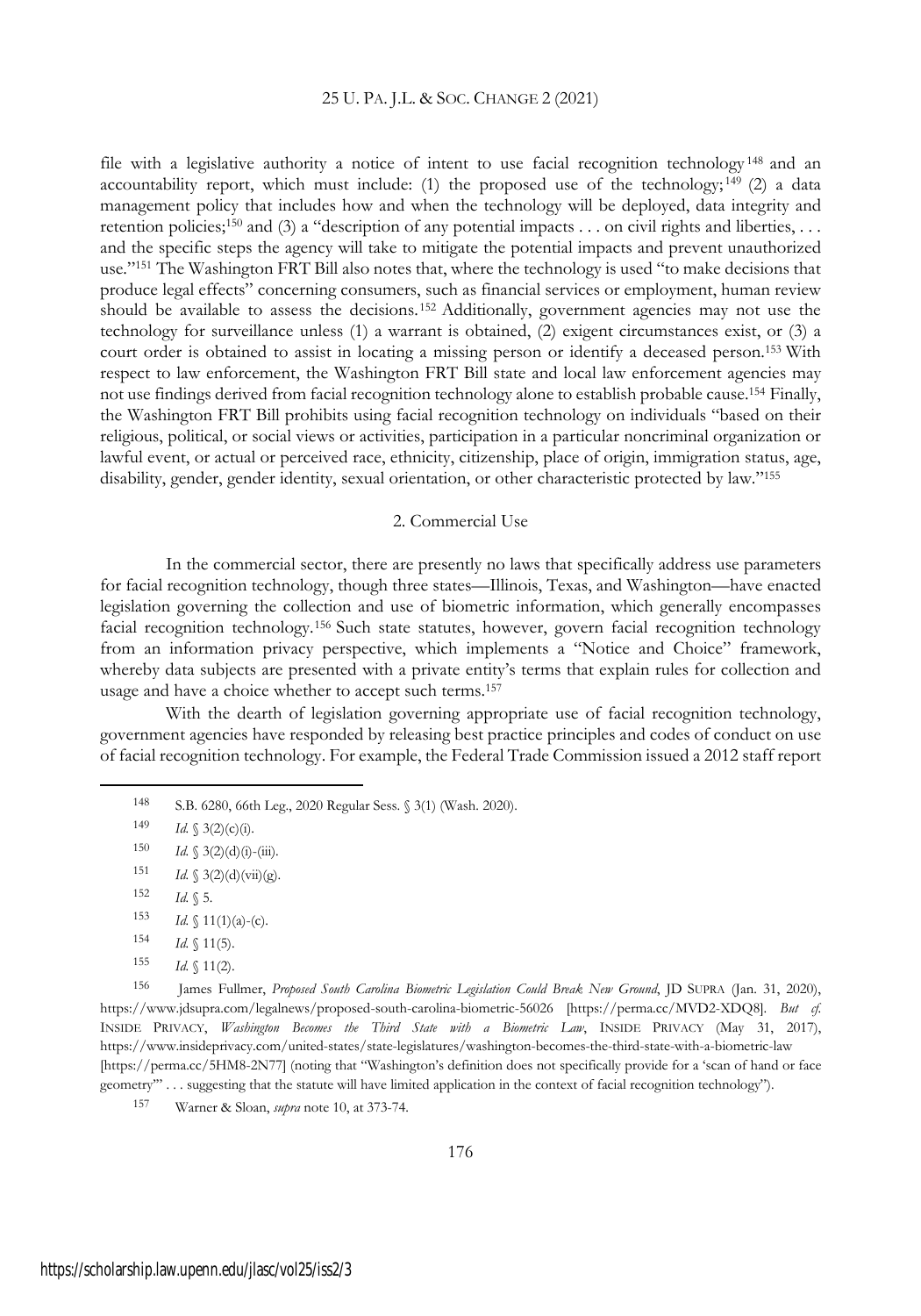file with a legislative authority a notice of intent to use facial recognition technology <sup>148</sup> and an accountability report, which must include: (1) the proposed use of the technology;  $149$  (2) a data management policy that includes how and when the technology will be deployed, data integrity and retention policies;<sup>150</sup> and (3) a "description of any potential impacts  $\dots$  on civil rights and liberties,  $\dots$ and the specific steps the agency will take to mitigate the potential impacts and prevent unauthorized use."<sup>151</sup> The Washington FRT Bill also notes that, where the technology is used "to make decisions that produce legal effects" concerning consumers, such as financial services or employment, human review should be available to assess the decisions. <sup>152</sup> Additionally, government agencies may not use the technology for surveillance unless (1) a warrant is obtained, (2) exigent circumstances exist, or (3) a court order is obtained to assist in locating a missing person or identify a deceased person.<sup>153</sup> With respect to law enforcement, the Washington FRT Bill state and local law enforcement agencies may not use findings derived from facial recognition technology alone to establish probable cause.<sup>154</sup> Finally, the Washington FRT Bill prohibits using facial recognition technology on individuals "based on their religious, political, or social views or activities, participation in a particular noncriminal organization or lawful event, or actual or perceived race, ethnicity, citizenship, place of origin, immigration status, age, disability, gender, gender identity, sexual orientation, or other characteristic protected by law."<sup>155</sup>

#### 2. Commercial Use

In the commercial sector, there are presently no laws that specifically address use parameters for facial recognition technology, though three states—Illinois, Texas, and Washington—have enacted legislation governing the collection and use of biometric information, which generally encompasses facial recognition technology.<sup>156</sup> Such state statutes, however, govern facial recognition technology from an information privacy perspective, which implements a "Notice and Choice" framework, whereby data subjects are presented with a private entity's terms that explain rules for collection and usage and have a choice whether to accept such terms.<sup>157</sup>

With the dearth of legislation governing appropriate use of facial recognition technology, government agencies have responded by releasing best practice principles and codes of conduct on use of facial recognition technology. For example, the Federal Trade Commission issued a 2012 staff report

- $154$  *Id.* § 11(5).
- $155$  *Id.* § 11(2).

<sup>156</sup> James Fullmer, *Proposed South Carolina Biometric Legislation Could Break New Ground*, JD SUPRA (Jan. 31, 2020), https://www.jdsupra.com/legalnews/proposed-south-carolina-biometric-56026 [https://perma.cc/MVD2-XDQ8]. *But cf.* INSIDE PRIVACY, *Washington Becomes the Third State with a Biometric Law*, INSIDE PRIVACY (May 31, 2017), https://www.insideprivacy.com/united-states/state-legislatures/washington-becomes-the-third-state-with-a-biometric-law [https://perma.cc/5HM8-2N77] (noting that "Washington's definition does not specifically provide for a 'scan of hand or face geometry'" . . . suggesting that the statute will have limited application in the context of facial recognition technology").

<sup>157</sup> Warner & Sloan, *supra* note 10, at 373-74.

<sup>148</sup> S.B. 6280, 66th Leg., 2020 Regular Sess. § 3(1) (Wash. 2020).

<sup>149</sup> *Id.* § 3(2)(c)(i).

<sup>150</sup> *Id.* § 3(2)(d)(i)-(iii).

<sup>151</sup> *Id.* § 3(2)(d)(vii)(g).

<sup>152</sup> *Id.* § 5.

<sup>153</sup> *Id.*  $\{(1)(a)-(c)\}$ .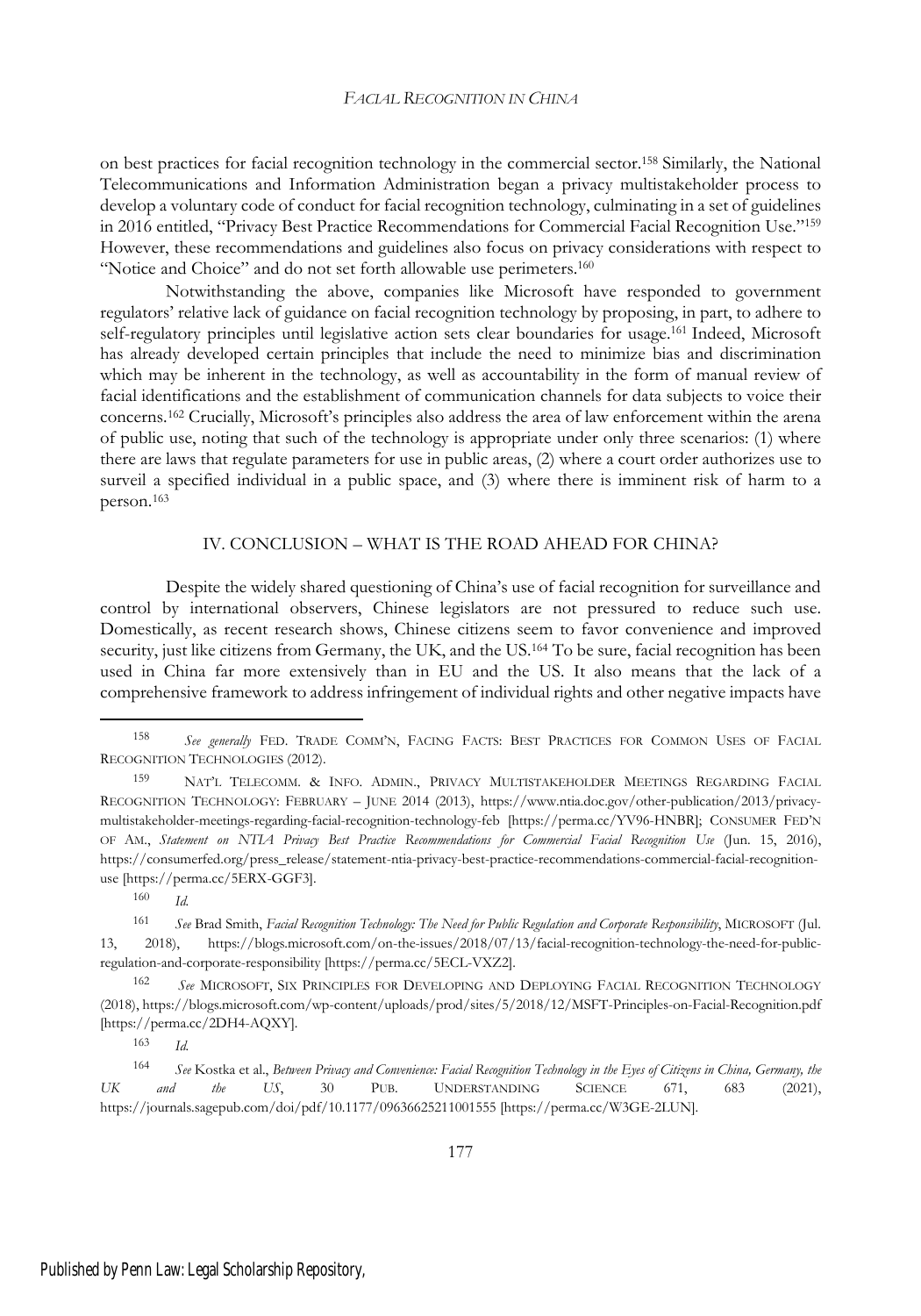on best practices for facial recognition technology in the commercial sector.<sup>158</sup> Similarly, the National Telecommunications and Information Administration began a privacy multistakeholder process to develop a voluntary code of conduct for facial recognition technology, culminating in a set of guidelines in 2016 entitled, "Privacy Best Practice Recommendations for Commercial Facial Recognition Use."<sup>159</sup> However, these recommendations and guidelines also focus on privacy considerations with respect to "Notice and Choice" and do not set forth allowable use perimeters.<sup>160</sup>

Notwithstanding the above, companies like Microsoft have responded to government regulators' relative lack of guidance on facial recognition technology by proposing, in part, to adhere to self-regulatory principles until legislative action sets clear boundaries for usage.<sup>161</sup> Indeed, Microsoft has already developed certain principles that include the need to minimize bias and discrimination which may be inherent in the technology, as well as accountability in the form of manual review of facial identifications and the establishment of communication channels for data subjects to voice their concerns.<sup>162</sup> Crucially, Microsoft's principles also address the area of law enforcement within the arena of public use, noting that such of the technology is appropriate under only three scenarios: (1) where there are laws that regulate parameters for use in public areas, (2) where a court order authorizes use to surveil a specified individual in a public space, and (3) where there is imminent risk of harm to a person.<sup>163</sup>

#### IV. CONCLUSION – WHAT IS THE ROAD AHEAD FOR CHINA?

Despite the widely shared questioning of China's use of facial recognition for surveillance and control by international observers, Chinese legislators are not pressured to reduce such use. Domestically, as recent research shows, Chinese citizens seem to favor convenience and improved security, just like citizens from Germany, the UK, and the US.<sup>164</sup> To be sure, facial recognition has been used in China far more extensively than in EU and the US. It also means that the lack of a comprehensive framework to address infringement of individual rights and other negative impacts have

<sup>160</sup> *Id.*

<sup>163</sup> *Id.*

<sup>158</sup> *See generally* FED. TRADE COMM'N, FACING FACTS: BEST PRACTICES FOR COMMON USES OF FACIAL RECOGNITION TECHNOLOGIES (2012).

<sup>159</sup> NAT'<sup>L</sup> TELECOMM. & INFO. ADMIN., PRIVACY MULTISTAKEHOLDER MEETINGS REGARDING FACIAL RECOGNITION TECHNOLOGY: FEBRUARY – JUNE 2014 (2013), https://www.ntia.doc.gov/other-publication/2013/privacymultistakeholder-meetings-regarding-facial-recognition-technology-feb [https://perma.cc/YV96-HNBR]; CONSUMER FED'N OF AM., *Statement on NTIA Privacy Best Practice Recommendations for Commercial Facial Recognition Use* (Jun. 15, 2016), https://consumerfed.org/press\_release/statement-ntia-privacy-best-practice-recommendations-commercial-facial-recognitionuse [https://perma.cc/5ERX-GGF3].

<sup>161</sup> *See* Brad Smith, *Facial Recognition Technology: The Need for Public Regulation and Corporate Responsibility*, MICROSOFT (Jul. 13, 2018), https://blogs.microsoft.com/on-the-issues/2018/07/13/facial-recognition-technology-the-need-for-publicregulation-and-corporate-responsibility [https://perma.cc/5ECL-VXZ2].

<sup>162</sup> *See* MICROSOFT, SIX PRINCIPLES FOR DEVELOPING AND DEPLOYING FACIAL RECOGNITION TECHNOLOGY (2018), https://blogs.microsoft.com/wp-content/uploads/prod/sites/5/2018/12/MSFT-Principles-on-Facial-Recognition.pdf [https://perma.cc/2DH4-AQXY].

<sup>164</sup> See Kostka et al., Between Privacy and Convenience: Facial Recognition Technology in the Eyes of Citizens in China, Germany, the *UK and the US*, 30 PUB. UNDERSTANDING SCIENCE 671, 683 (2021), https://journals.sagepub.com/doi/pdf/10.1177/09636625211001555 [https://perma.cc/W3GE-2LUN].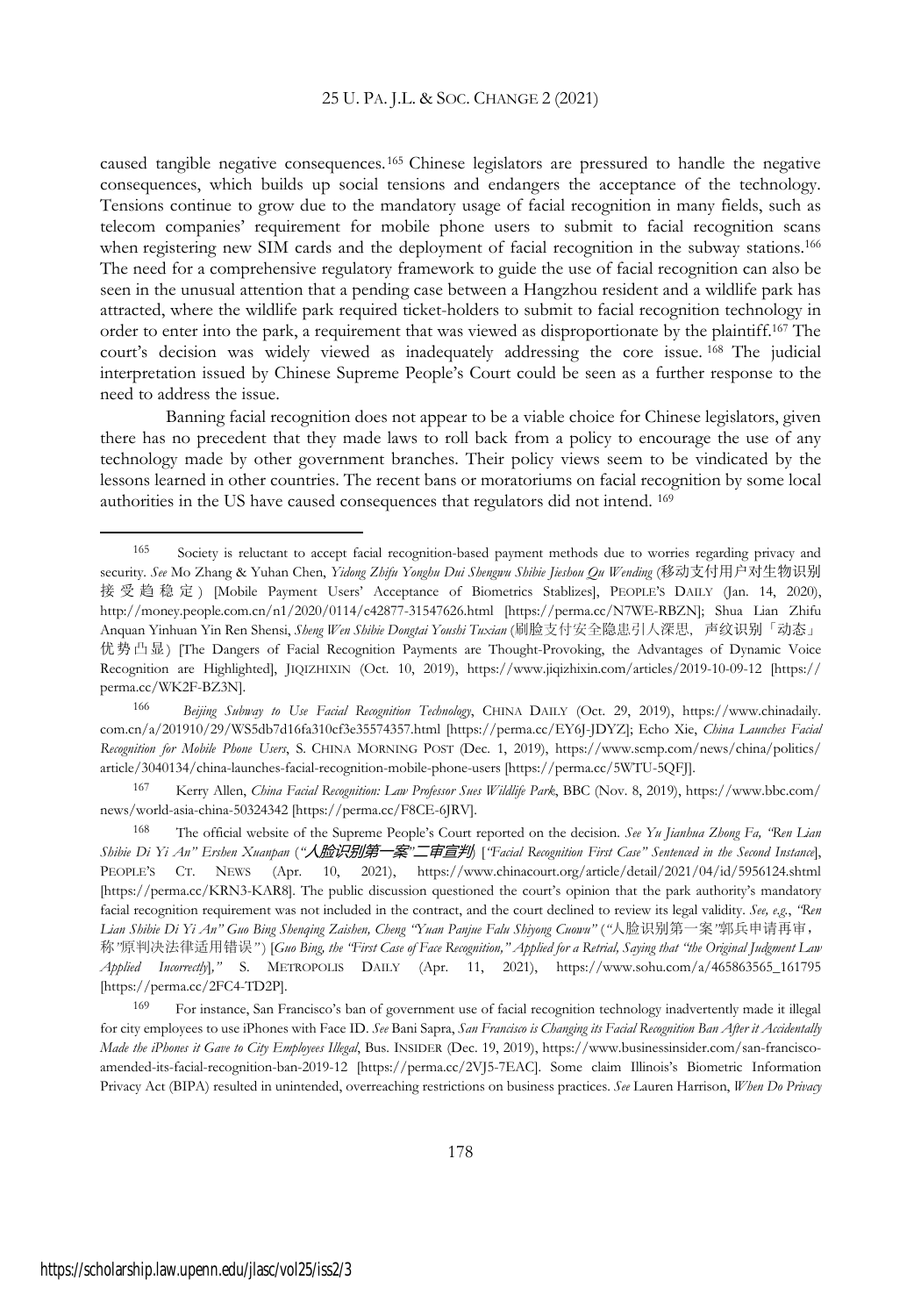caused tangible negative consequences.<sup>165</sup> Chinese legislators are pressured to handle the negative consequences, which builds up social tensions and endangers the acceptance of the technology. Tensions continue to grow due to the mandatory usage of facial recognition in many fields, such as telecom companies' requirement for mobile phone users to submit to facial recognition scans when registering new SIM cards and the deployment of facial recognition in the subway stations.<sup>166</sup> The need for a comprehensive regulatory framework to guide the use of facial recognition can also be seen in the unusual attention that a pending case between a Hangzhou resident and a wildlife park has attracted, where the wildlife park required ticket-holders to submit to facial recognition technology in order to enter into the park, a requirement that was viewed as disproportionate by the plaintiff.<sup>167</sup> The court's decision was widely viewed as inadequately addressing the core issue. <sup>168</sup> The judicial interpretation issued by Chinese Supreme People's Court could be seen as a further response to the need to address the issue.

Banning facial recognition does not appear to be a viable choice for Chinese legislators, given there has no precedent that they made laws to roll back from a policy to encourage the use of any technology made by other government branches. Their policy views seem to be vindicated by the lessons learned in other countries. The recent bans or moratoriums on facial recognition by some local authorities in the US have caused consequences that regulators did not intend. 169

<sup>167</sup> Kerry Allen, *China Facial Recognition: Law Professor Sues Wildlife Park*, BBC (Nov. 8, 2019), https://www.bbc.com/ news/world-asia-china-50324342 [https://perma.cc/F8CE-6JRV].

<sup>168</sup> The official website of the Supreme People's Court reported on the decision. *See Yu Jianhua Zhong Fa, "Ren Lian* Shibie Di Yi An" Ershen Xuanpan ("**人脸识别第一案"二审宣判** ['Facial Recognition First Case" Sentenced in the Second Instance], PEOPLE'S CT. NEWS (Apr. 10, 2021), https://www.chinacourt.org/article/detail/2021/04/id/5956124.shtml [https://perma.cc/KRN3-KAR8]. The public discussion questioned the court's opinion that the park authority's mandatory facial recognition requirement was not included in the contract, and the court declined to review its legal validity. *See, e.g.*, *"Ren Lian Shibie Di Yi An" Guo Bing Shenqing Zaishen, Cheng "Yuan Panjue Falu Shiyong Cuowu"* (*"*人脸识别第一案*"*郭兵申请再审, 称 "原判决法律适用错误") [Guo Bing, the 'First Case of Face Recognition," Applied for a Retrial, Saying that "the Original Judgment Law *Applied Incorrectly*]*,"* S. METROPOLIS DAILY (Apr. 11, 2021), https://www.sohu.com/a/465863565\_161795 [https://perma.cc/2FC4-TD2P].

<sup>169</sup> For instance, San Francisco's ban of government use of facial recognition technology inadvertently made it illegal for city employees to use iPhones with Face ID. *See* Bani Sapra, *San Francisco is Changing its Facial Recognition Ban After it Accidentally Made the iPhones it Gave to City Employees Illegal*, Bus. INSIDER (Dec. 19, 2019), https://www.businessinsider.com/san-franciscoamended-its-facial-recognition-ban-2019-12 [https://perma.cc/2VJ5-7EAC]. Some claim Illinois's Biometric Information Privacy Act (BIPA) resulted in unintended, overreaching restrictions on business practices. *See* Lauren Harrison, *When Do Privacy*

<sup>165</sup> Society is reluctant to accept facial recognition-based payment methods due to worries regarding privacy and security. *See* Mo Zhang & Yuhan Chen, *Yidong Zhifu Yonghu Dui Shengwu Shibie Jieshou Qu Wending* (移动支付用户对生物识别 接受趋稳定 ) [Mobile Payment Users' Acceptance of Biometrics Stablizes], PEOPLE'S DAILY (Jan. 14, 2020), http://money.people.com.cn/n1/2020/0114/c42877-31547626.html [https://perma.cc/N7WE-RBZN]; Shua Lian Zhifu Anquan Yinhuan Yin Ren Shensi, *Sheng Wen Shibie Dongtai Youshi Tuxian* (刷脸支付安全隐患引人深思,声纹识别「动态」 优势凸显) [The Dangers of Facial Recognition Payments are Thought-Provoking, the Advantages of Dynamic Voice Recognition are Highlighted], JIQIZHIXIN (Oct. 10, 2019), https://www.jiqizhixin.com/articles/2019-10-09-12 [https:// perma.cc/WK2F-BZ3N].

<sup>166</sup> *Beijing Subway to Use Facial Recognition Technology*, CHINA DAILY (Oct. 29, 2019), https://www.chinadaily. com.cn/a/201910/29/WS5db7d16fa310cf3e35574357.html [https://perma.cc/EY6J-JDYZ]; Echo Xie, *China Launches Facial Recognition for Mobile Phone Users*, S. CHINA MORNING POST (Dec. 1, 2019), https://www.scmp.com/news/china/politics/ article/3040134/china-launches-facial-recognition-mobile-phone-users [https://perma.cc/5WTU-5QFJ].